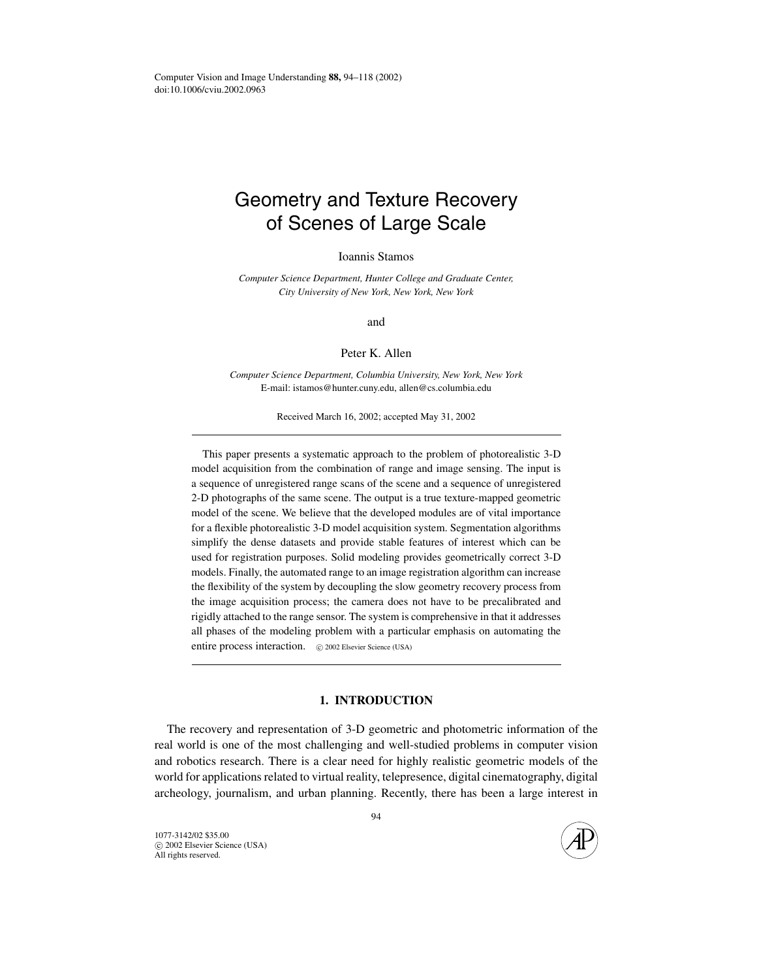# Geometry and Texture Recovery of Scenes of Large Scale

Ioannis Stamos

*Computer Science Department, Hunter College and Graduate Center, City University of New York, New York, New York*

and

Peter K. Allen

*Computer Science Department, Columbia University, New York, New York* E-mail: istamos@hunter.cuny.edu, allen@cs.columbia.edu

Received March 16, 2002; accepted May 31, 2002

This paper presents a systematic approach to the problem of photorealistic 3-D model acquisition from the combination of range and image sensing. The input is a sequence of unregistered range scans of the scene and a sequence of unregistered 2-D photographs of the same scene. The output is a true texture-mapped geometric model of the scene. We believe that the developed modules are of vital importance for a flexible photorealistic 3-D model acquisition system. Segmentation algorithms simplify the dense datasets and provide stable features of interest which can be used for registration purposes. Solid modeling provides geometrically correct 3-D models. Finally, the automated range to an image registration algorithm can increase the flexibility of the system by decoupling the slow geometry recovery process from the image acquisition process; the camera does not have to be precalibrated and rigidly attached to the range sensor. The system is comprehensive in that it addresses all phases of the modeling problem with a particular emphasis on automating the entire process interaction.  $\circ$  2002 Elsevier Science (USA)

## **1. INTRODUCTION**

The recovery and representation of 3-D geometric and photometric information of the real world is one of the most challenging and well-studied problems in computer vision and robotics research. There is a clear need for highly realistic geometric models of the world for applications related to virtual reality, telepresence, digital cinematography, digital archeology, journalism, and urban planning. Recently, there has been a large interest in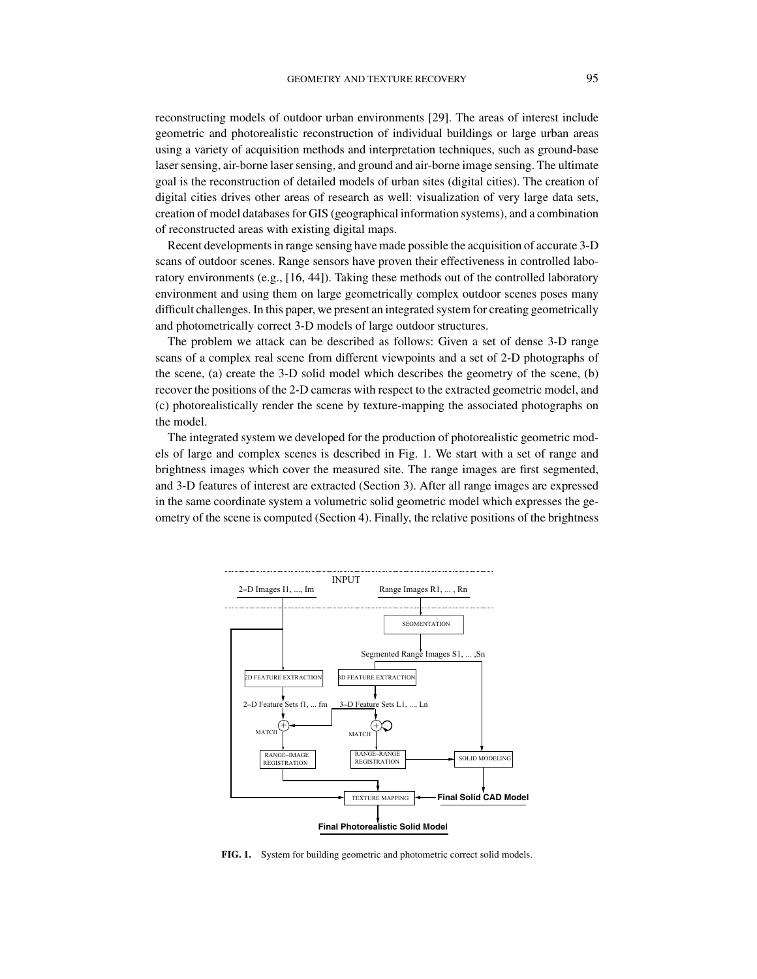reconstructing models of outdoor urban environments [29]. The areas of interest include geometric and photorealistic reconstruction of individual buildings or large urban areas using a variety of acquisition methods and interpretation techniques, such as ground-base laser sensing, air-borne laser sensing, and ground and air-borne image sensing. The ultimate goal is the reconstruction of detailed models of urban sites (digital cities). The creation of digital cities drives other areas of research as well: visualization of very large data sets, creation of model databases for GIS (geographical information systems), and a combination of reconstructed areas with existing digital maps.

Recent developments in range sensing have made possible the acquisition of accurate 3-D scans of outdoor scenes. Range sensors have proven their effectiveness in controlled laboratory environments (e.g., [16, 44]). Taking these methods out of the controlled laboratory environment and using them on large geometrically complex outdoor scenes poses many difficult challenges. In this paper, we present an integrated system for creating geometrically and photometrically correct 3-D models of large outdoor structures.

The problem we attack can be described as follows: Given a set of dense 3-D range scans of a complex real scene from different viewpoints and a set of 2-D photographs of the scene, (a) create the 3-D solid model which describes the geometry of the scene, (b) recover the positions of the 2-D cameras with respect to the extracted geometric model, and (c) photorealistically render the scene by texture-mapping the associated photographs on the model.

The integrated system we developed for the production of photorealistic geometric models of large and complex scenes is described in Fig. 1. We start with a set of range and brightness images which cover the measured site. The range images are first segmented, and 3-D features of interest are extracted (Section 3). After all range images are expressed in the same coordinate system a volumetric solid geometric model which expresses the geometry of the scene is computed (Section 4). Finally, the relative positions of the brightness



**FIG. 1.** System for building geometric and photometric correct solid models.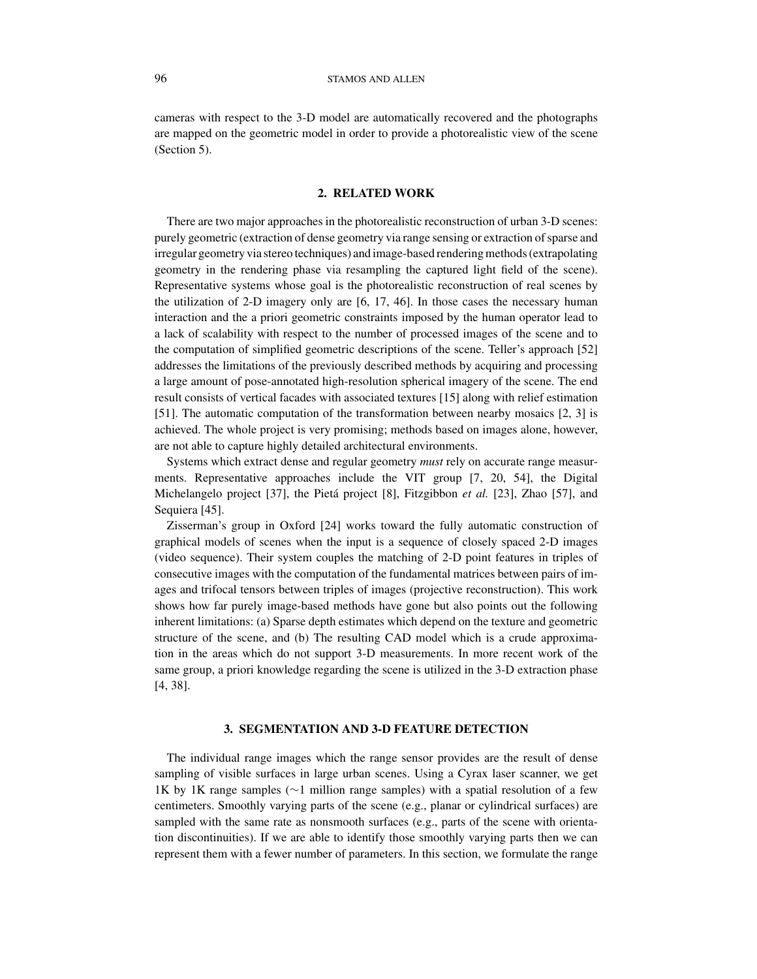cameras with respect to the 3-D model are automatically recovered and the photographs are mapped on the geometric model in order to provide a photorealistic view of the scene (Section 5).

## **2. RELATED WORK**

There are two major approaches in the photorealistic reconstruction of urban 3-D scenes: purely geometric (extraction of dense geometry via range sensing or extraction of sparse and irregular geometry via stereo techniques) and image-based rendering methods (extrapolating geometry in the rendering phase via resampling the captured light field of the scene). Representative systems whose goal is the photorealistic reconstruction of real scenes by the utilization of 2-D imagery only are [6, 17, 46]. In those cases the necessary human interaction and the a priori geometric constraints imposed by the human operator lead to a lack of scalability with respect to the number of processed images of the scene and to the computation of simplified geometric descriptions of the scene. Teller's approach [52] addresses the limitations of the previously described methods by acquiring and processing a large amount of pose-annotated high-resolution spherical imagery of the scene. The end result consists of vertical facades with associated textures [15] along with relief estimation [51]. The automatic computation of the transformation between nearby mosaics [2, 3] is achieved. The whole project is very promising; methods based on images alone, however, are not able to capture highly detailed architectural environments.

Systems which extract dense and regular geometry *must* rely on accurate range measurments. Representative approaches include the VIT group [7, 20, 54], the Digital Michelangelo project [37], the Pietá project [8], Fitzgibbon *et al.* [23], Zhao [57], and Sequiera [45].

Zisserman's group in Oxford [24] works toward the fully automatic construction of graphical models of scenes when the input is a sequence of closely spaced 2-D images (video sequence). Their system couples the matching of 2-D point features in triples of consecutive images with the computation of the fundamental matrices between pairs of images and trifocal tensors between triples of images (projective reconstruction). This work shows how far purely image-based methods have gone but also points out the following inherent limitations: (a) Sparse depth estimates which depend on the texture and geometric structure of the scene, and (b) The resulting CAD model which is a crude approximation in the areas which do not support 3-D measurements. In more recent work of the same group, a priori knowledge regarding the scene is utilized in the 3-D extraction phase [4, 38].

#### **3. SEGMENTATION AND 3-D FEATURE DETECTION**

The individual range images which the range sensor provides are the result of dense sampling of visible surfaces in large urban scenes. Using a Cyrax laser scanner, we get 1K by 1K range samples (∼1 million range samples) with a spatial resolution of a few centimeters. Smoothly varying parts of the scene (e.g., planar or cylindrical surfaces) are sampled with the same rate as nonsmooth surfaces (e.g., parts of the scene with orientation discontinuities). If we are able to identify those smoothly varying parts then we can represent them with a fewer number of parameters. In this section, we formulate the range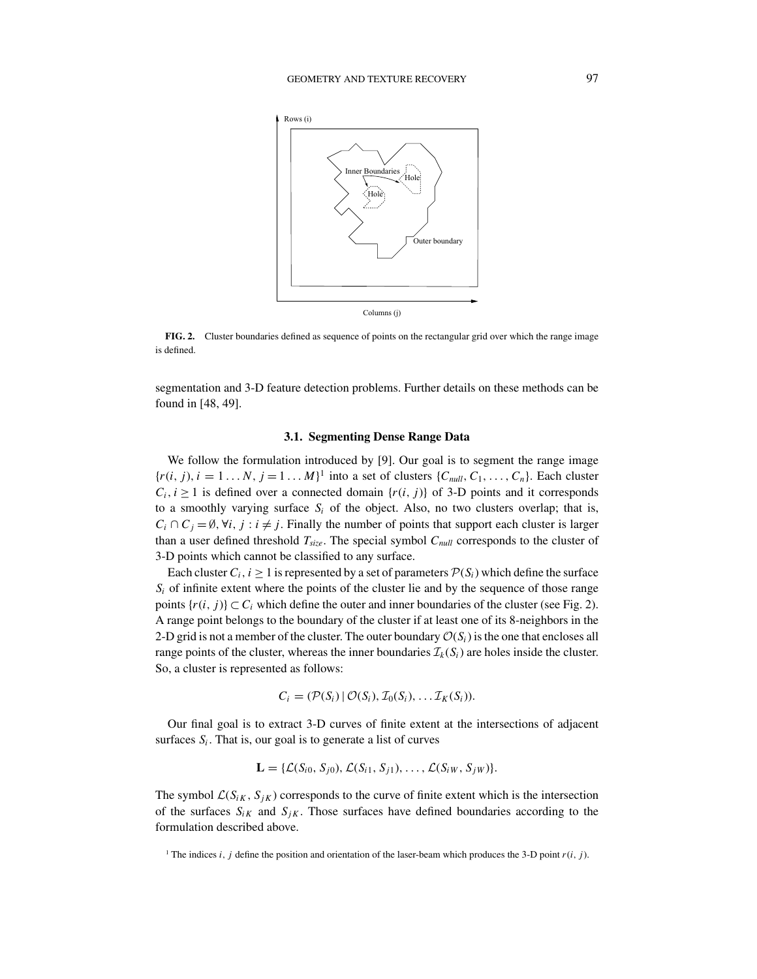

**FIG. 2.** Cluster boundaries defined as sequence of points on the rectangular grid over which the range image is defined.

segmentation and 3-D feature detection problems. Further details on these methods can be found in [48, 49].

#### **3.1. Segmenting Dense Range Data**

We follow the formulation introduced by [9]. Our goal is to segment the range image  ${r(i, j), i = 1...N, j = 1...M}$  into a set of clusters  ${C_{null}, C_1,..., C_n}$ . Each cluster  $C_i$ , *i*  $\geq$  1 is defined over a connected domain {*r*(*i*, *j*)} of 3-D points and it corresponds to a smoothly varying surface  $S_i$  of the object. Also, no two clusters overlap; that is,  $C_i \cap C_j = \emptyset$ ,  $\forall i, j : i \neq j$ . Finally the number of points that support each cluster is larger than a user defined threshold *Tsize*. The special symbol *Cnull* corresponds to the cluster of 3-D points which cannot be classified to any surface.

Each cluster  $C_i$ ,  $i \geq 1$  is represented by a set of parameters  $\mathcal{P}(S_i)$  which define the surface  $S_i$  of infinite extent where the points of the cluster lie and by the sequence of those range points  $\{r(i, j)\} \subset C_i$  which define the outer and inner boundaries of the cluster (see Fig. 2). A range point belongs to the boundary of the cluster if at least one of its 8-neighbors in the 2-D grid is not a member of the cluster. The outer boundary  $\mathcal{O}(S_i)$  is the one that encloses all range points of the cluster, whereas the inner boundaries  $\mathcal{I}_k(S_i)$  are holes inside the cluster. So, a cluster is represented as follows:

$$
C_i = (\mathcal{P}(S_i) | \mathcal{O}(S_i), \mathcal{I}_0(S_i), \dots \mathcal{I}_K(S_i)).
$$

Our final goal is to extract 3-D curves of finite extent at the intersections of adjacent surfaces  $S_i$ . That is, our goal is to generate a list of curves

$$
\mathbf{L} = \{ \mathcal{L}(S_{i0}, S_{j0}), \mathcal{L}(S_{i1}, S_{j1}), \ldots, \mathcal{L}(S_{iW}, S_{jW}) \}.
$$

The symbol  $\mathcal{L}(S_{iK}, S_{jK})$  corresponds to the curve of finite extent which is the intersection of the surfaces  $S_{iK}$  and  $S_{jK}$ . Those surfaces have defined boundaries according to the formulation described above.

<sup>&</sup>lt;sup>1</sup> The indices *i*, *j* define the position and orientation of the laser-beam which produces the 3-D point  $r(i, j)$ .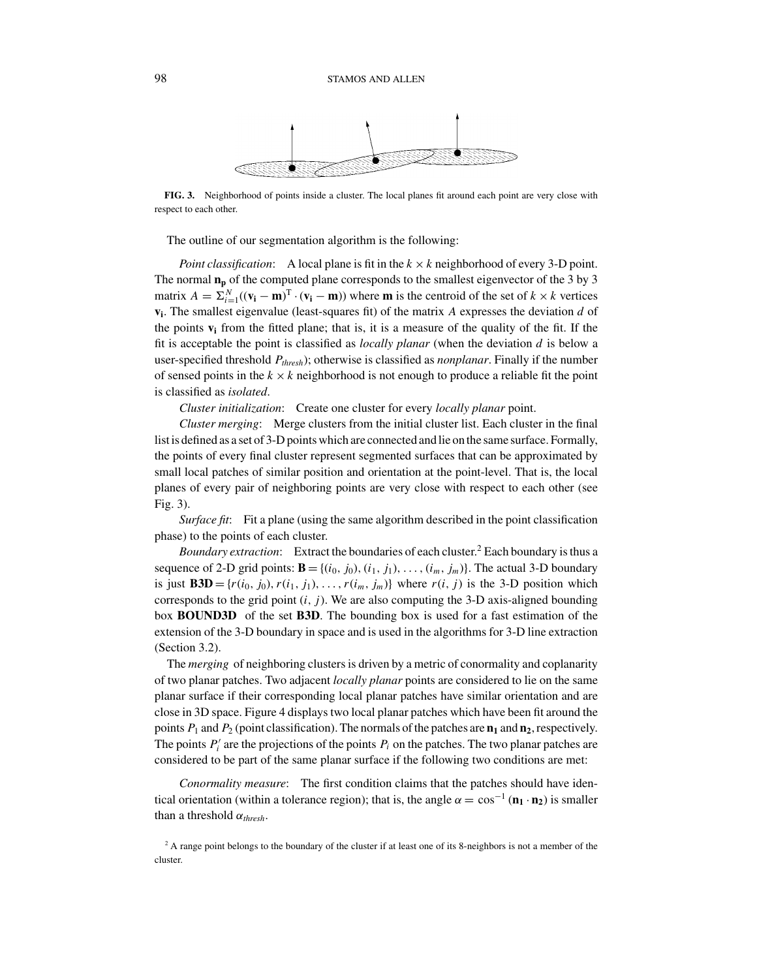

**FIG. 3.** Neighborhood of points inside a cluster. The local planes fit around each point are very close with respect to each other.

The outline of our segmentation algorithm is the following:

*Point classification*: A local plane is fit in the  $k \times k$  neighborhood of every 3-D point. The normal  $n_p$  of the computed plane corresponds to the smallest eigenvector of the 3 by 3 matrix  $A = \sum_{i=1}^{N} ((\mathbf{v_i} - \mathbf{m})^T \cdot (\mathbf{v_i} - \mathbf{m}))$  where **m** is the centroid of the set of  $k \times k$  vertices **vi**. The smallest eigenvalue (least-squares fit) of the matrix *A* expresses the deviation *d* of the points  $\bf{v}_i$  from the fitted plane; that is, it is a measure of the quality of the fit. If the fit is acceptable the point is classified as *locally planar* (when the deviation *d* is below a user-specified threshold *Pthresh*); otherwise is classified as *nonplanar*. Finally if the number of sensed points in the  $k \times k$  neighborhood is not enough to produce a reliable fit the point is classified as *isolated*.

*Cluster initialization*: Create one cluster for every *locally planar* point.

*Cluster merging*: Merge clusters from the initial cluster list. Each cluster in the final list is defined as a set of 3-D points which are connected and lie on the same surface. Formally, the points of every final cluster represent segmented surfaces that can be approximated by small local patches of similar position and orientation at the point-level. That is, the local planes of every pair of neighboring points are very close with respect to each other (see Fig. 3).

*Surface fit*: Fit a plane (using the same algorithm described in the point classification phase) to the points of each cluster.

*Boundary extraction*: Extract the boundaries of each cluster.<sup>2</sup> Each boundary is thus a sequence of 2-D grid points:  $\mathbf{B} = \{(i_0, j_0), (i_1, j_1), \ldots, (i_m, j_m)\}\)$ . The actual 3-D boundary is just  $\mathbf{B3D} = \{r(i_0, j_0), r(i_1, j_1), \ldots, r(i_m, j_m)\}\$  where  $r(i, j)$  is the 3-D position which corresponds to the grid point  $(i, j)$ . We are also computing the 3-D axis-aligned bounding box **BOUND3D** of the set **B3D**. The bounding box is used for a fast estimation of the extension of the 3-D boundary in space and is used in the algorithms for 3-D line extraction (Section 3.2).

The *merging* of neighboring clusters is driven by a metric of conormality and coplanarity of two planar patches. Two adjacent *locally planar* points are considered to lie on the same planar surface if their corresponding local planar patches have similar orientation and are close in 3D space. Figure 4 displays two local planar patches which have been fit around the points  $P_1$  and  $P_2$  (point classification). The normals of the patches are  $\mathbf{n}_1$  and  $\mathbf{n}_2$ , respectively. The points  $P_i'$  are the projections of the points  $P_i$  on the patches. The two planar patches are considered to be part of the same planar surface if the following two conditions are met:

*Conormality measure*: The first condition claims that the patches should have identical orientation (within a tolerance region); that is, the angle  $\alpha = \cos^{-1}(\mathbf{n}_1 \cdot \mathbf{n}_2)$  is smaller than a threshold  $\alpha_{thresh}$ .

<sup>&</sup>lt;sup>2</sup> A range point belongs to the boundary of the cluster if at least one of its 8-neighbors is not a member of the cluster.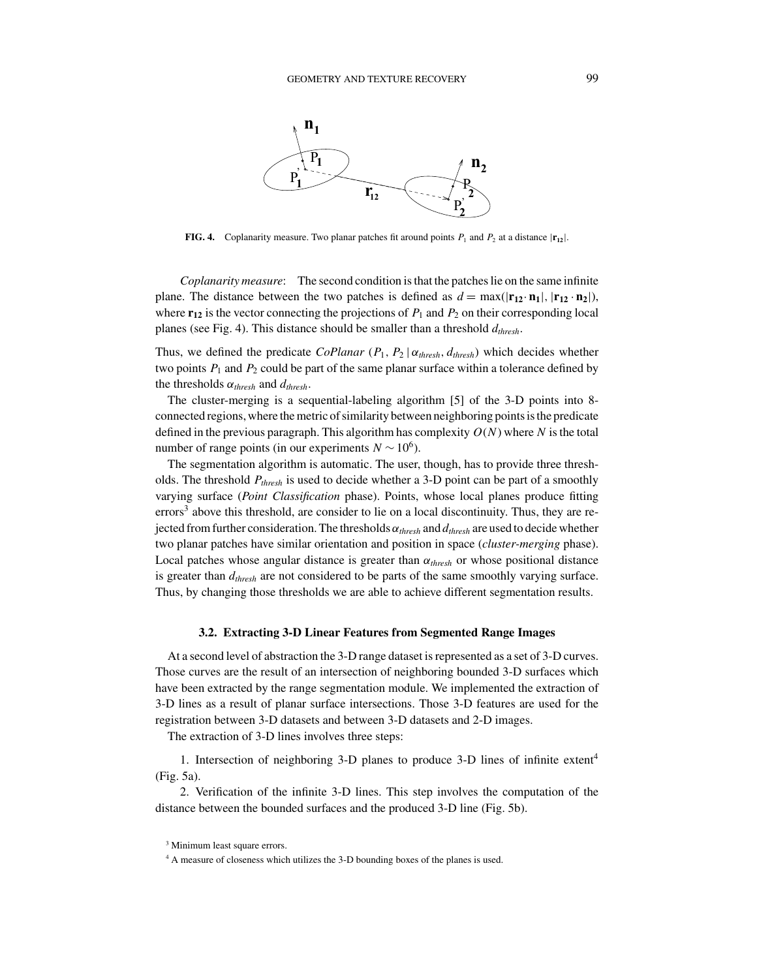

**FIG. 4.** Coplanarity measure. Two planar patches fit around points  $P_1$  and  $P_2$  at a distance  $|\mathbf{r}_{12}|$ .

*Coplanarity measure*: The second condition is that the patches lie on the same infinite plane. The distance between the two patches is defined as  $d = \max(|\mathbf{r}_{12} \cdot \mathbf{n}_1|, |\mathbf{r}_{12} \cdot \mathbf{n}_2|),$ where  $\mathbf{r}_{12}$  is the vector connecting the projections of  $P_1$  and  $P_2$  on their corresponding local planes (see Fig. 4). This distance should be smaller than a threshold  $d_{thresh}$ .

Thus, we defined the predicate *CoPlanar* ( $P_1$ ,  $P_2 | \alpha_{thresh}$ ,  $d_{thresh}$ ) which decides whether two points  $P_1$  and  $P_2$  could be part of the same planar surface within a tolerance defined by the thresholds  $\alpha_{thresh}$  and  $d_{thresh}$ .

The cluster-merging is a sequential-labeling algorithm [5] of the 3-D points into 8 connected regions, where the metric of similarity between neighboring points is the predicate defined in the previous paragraph. This algorithm has complexity *O*(*N*) where *N* is the total number of range points (in our experiments  $N \sim 10^6$ ).

The segmentation algorithm is automatic. The user, though, has to provide three thresholds. The threshold *Pthresh* is used to decide whether a 3-D point can be part of a smoothly varying surface (*Point Classification* phase). Points, whose local planes produce fitting errors<sup>3</sup> above this threshold, are consider to lie on a local discontinuity. Thus, they are rejected from further consideration. The thresholds α*thresh* and *dthresh* are used to decide whether two planar patches have similar orientation and position in space (*cluster-merging* phase). Local patches whose angular distance is greater than  $\alpha_{thresh}$  or whose positional distance is greater than  $d_{thresh}$  are not considered to be parts of the same smoothly varying surface. Thus, by changing those thresholds we are able to achieve different segmentation results.

## **3.2. Extracting 3-D Linear Features from Segmented Range Images**

At a second level of abstraction the 3-D range dataset is represented as a set of 3-D curves. Those curves are the result of an intersection of neighboring bounded 3-D surfaces which have been extracted by the range segmentation module. We implemented the extraction of 3-D lines as a result of planar surface intersections. Those 3-D features are used for the registration between 3-D datasets and between 3-D datasets and 2-D images.

The extraction of 3-D lines involves three steps:

1. Intersection of neighboring 3-D planes to produce 3-D lines of infinite extent<sup>4</sup> (Fig. 5a).

2. Verification of the infinite 3-D lines. This step involves the computation of the distance between the bounded surfaces and the produced 3-D line (Fig. 5b).

<sup>&</sup>lt;sup>3</sup> Minimum least square errors.

<sup>4</sup> A measure of closeness which utilizes the 3-D bounding boxes of the planes is used.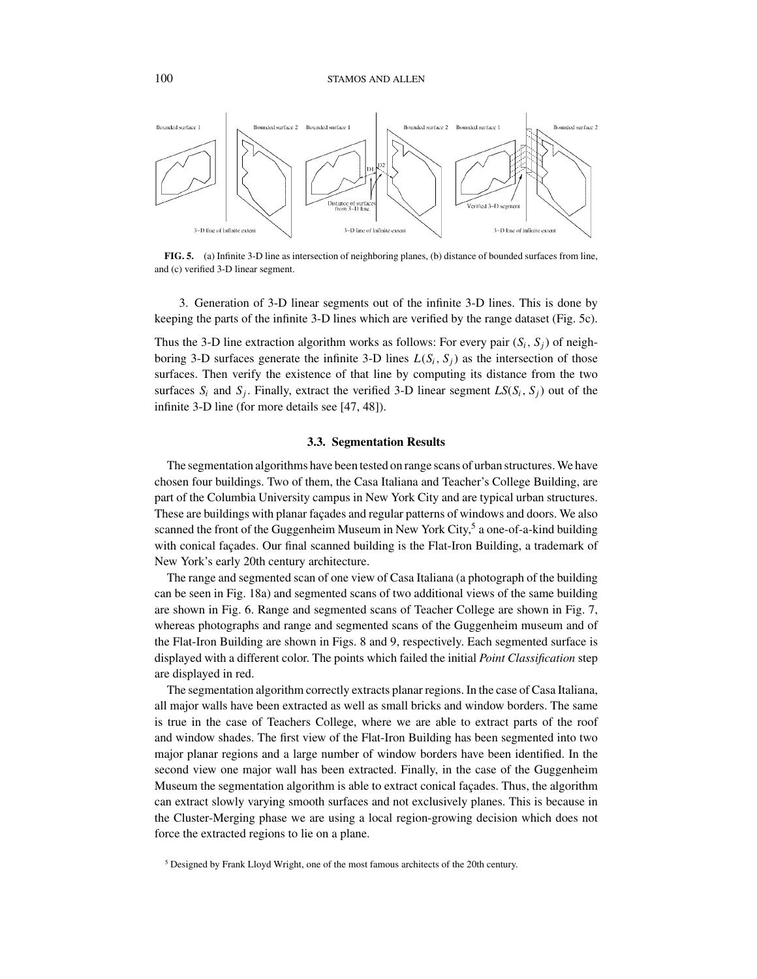

**FIG. 5.** (a) Infinite 3-D line as intersection of neighboring planes, (b) distance of bounded surfaces from line, and (c) verified 3-D linear segment.

3. Generation of 3-D linear segments out of the infinite 3-D lines. This is done by keeping the parts of the infinite 3-D lines which are verified by the range dataset (Fig. 5c).

Thus the 3-D line extraction algorithm works as follows: For every pair  $(S_i, S_j)$  of neighboring 3-D surfaces generate the infinite 3-D lines  $L(S_i, S_j)$  as the intersection of those surfaces. Then verify the existence of that line by computing its distance from the two surfaces  $S_i$  and  $S_j$ . Finally, extract the verified 3-D linear segment  $LS(S_i, S_j)$  out of the infinite 3-D line (for more details see [47, 48]).

## **3.3. Segmentation Results**

The segmentation algorithms have been tested on range scans of urban structures. We have chosen four buildings. Two of them, the Casa Italiana and Teacher's College Building, are part of the Columbia University campus in New York City and are typical urban structures. These are buildings with planar facades and regular patterns of windows and doors. We also scanned the front of the Guggenheim Museum in New York City,<sup>5</sup> a one-of-a-kind building with conical facades. Our final scanned building is the Flat-Iron Building, a trademark of New York's early 20th century architecture.

The range and segmented scan of one view of Casa Italiana (a photograph of the building can be seen in Fig. 18a) and segmented scans of two additional views of the same building are shown in Fig. 6. Range and segmented scans of Teacher College are shown in Fig. 7, whereas photographs and range and segmented scans of the Guggenheim museum and of the Flat-Iron Building are shown in Figs. 8 and 9, respectively. Each segmented surface is displayed with a different color. The points which failed the initial *Point Classification* step are displayed in red.

The segmentation algorithm correctly extracts planar regions. In the case of Casa Italiana, all major walls have been extracted as well as small bricks and window borders. The same is true in the case of Teachers College, where we are able to extract parts of the roof and window shades. The first view of the Flat-Iron Building has been segmented into two major planar regions and a large number of window borders have been identified. In the second view one major wall has been extracted. Finally, in the case of the Guggenheim Museum the segmentation algorithm is able to extract conical façades. Thus, the algorithm can extract slowly varying smooth surfaces and not exclusively planes. This is because in the Cluster-Merging phase we are using a local region-growing decision which does not force the extracted regions to lie on a plane.

<sup>&</sup>lt;sup>5</sup> Designed by Frank Lloyd Wright, one of the most famous architects of the 20th century.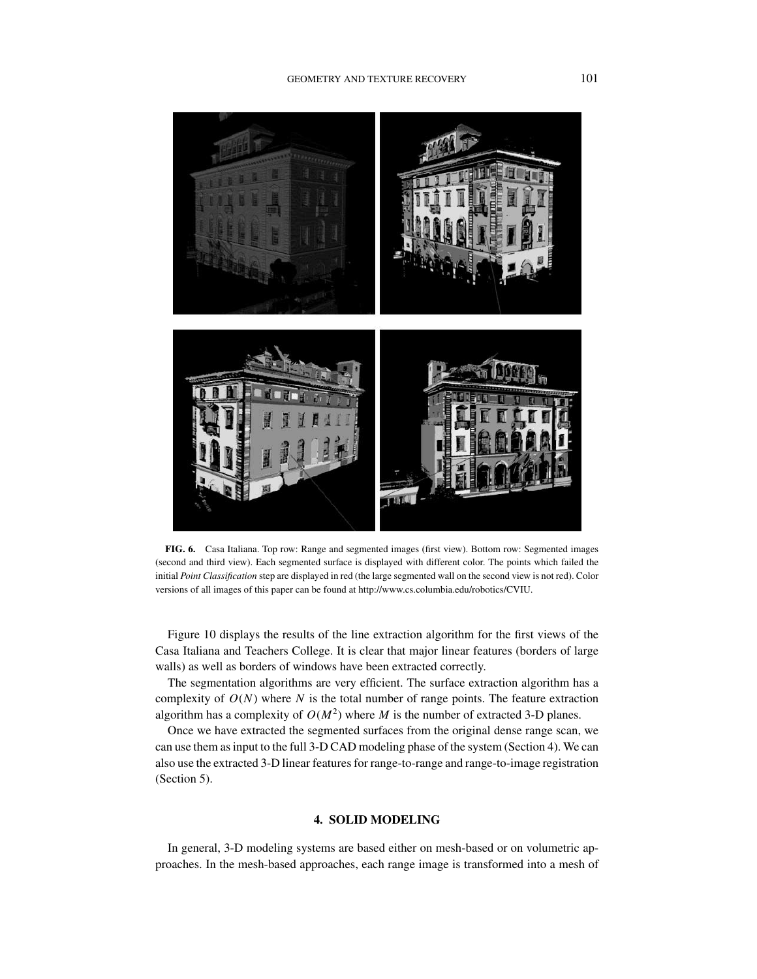

**FIG. 6.** Casa Italiana. Top row: Range and segmented images (first view). Bottom row: Segmented images (second and third view). Each segmented surface is displayed with different color. The points which failed the initial *Point Classification* step are displayed in red (the large segmented wall on the second view is not red). Color versions of all images of this paper can be found at http://www.cs.columbia.edu/robotics/CVIU.

Figure 10 displays the results of the line extraction algorithm for the first views of the Casa Italiana and Teachers College. It is clear that major linear features (borders of large walls) as well as borders of windows have been extracted correctly.

The segmentation algorithms are very efficient. The surface extraction algorithm has a complexity of  $O(N)$  where *N* is the total number of range points. The feature extraction algorithm has a complexity of  $O(M^2)$  where *M* is the number of extracted 3-D planes.

Once we have extracted the segmented surfaces from the original dense range scan, we can use them as input to the full 3-D CAD modeling phase of the system (Section 4). We can also use the extracted 3-D linear features for range-to-range and range-to-image registration (Section 5).

## **4. SOLID MODELING**

In general, 3-D modeling systems are based either on mesh-based or on volumetric approaches. In the mesh-based approaches, each range image is transformed into a mesh of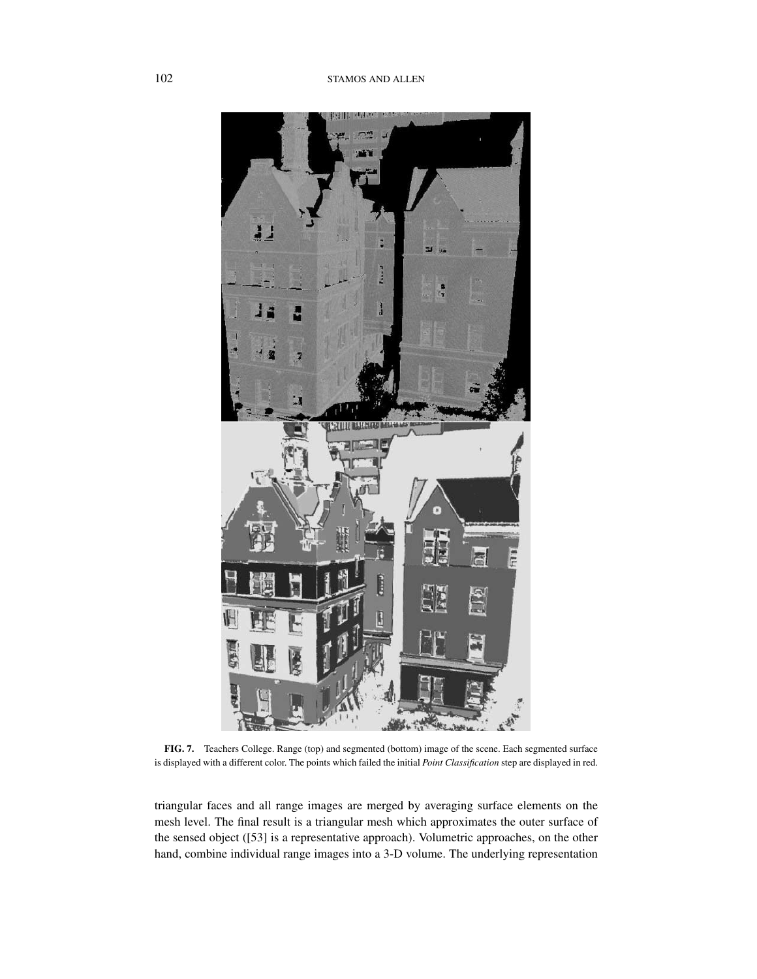

**FIG. 7.** Teachers College. Range (top) and segmented (bottom) image of the scene. Each segmented surface is displayed with a different color. The points which failed the initial *Point Classification* step are displayed in red.

triangular faces and all range images are merged by averaging surface elements on the mesh level. The final result is a triangular mesh which approximates the outer surface of the sensed object ([53] is a representative approach). Volumetric approaches, on the other hand, combine individual range images into a 3-D volume. The underlying representation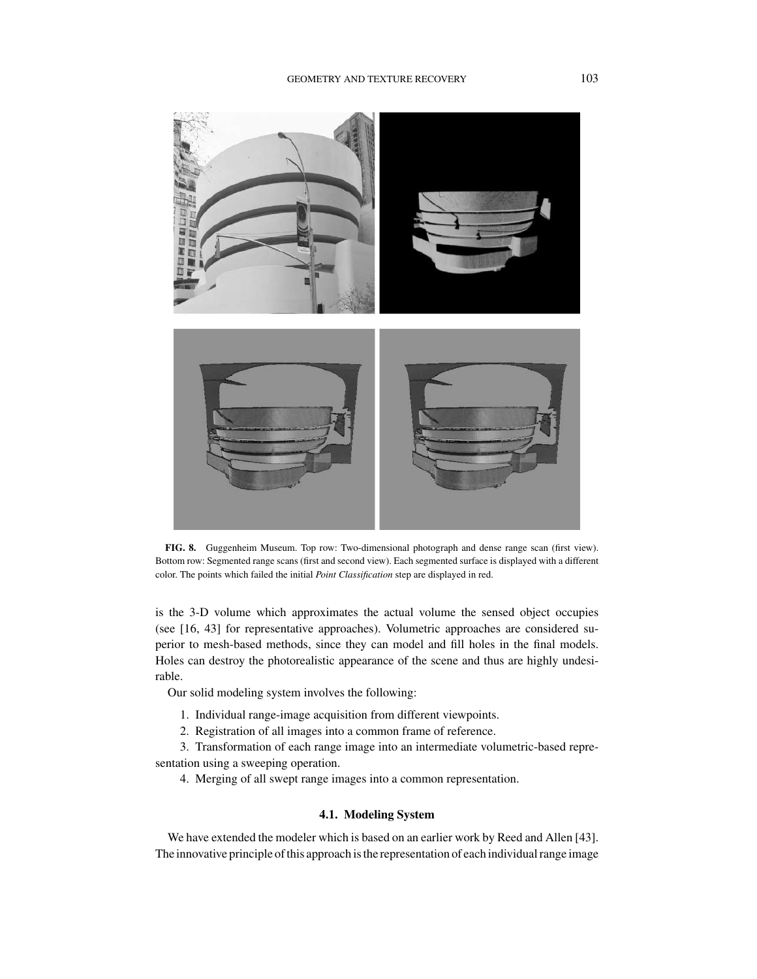

**FIG. 8.** Guggenheim Museum. Top row: Two-dimensional photograph and dense range scan (first view). Bottom row: Segmented range scans (first and second view). Each segmented surface is displayed with a different color. The points which failed the initial *Point Classification* step are displayed in red.

is the 3-D volume which approximates the actual volume the sensed object occupies (see [16, 43] for representative approaches). Volumetric approaches are considered superior to mesh-based methods, since they can model and fill holes in the final models. Holes can destroy the photorealistic appearance of the scene and thus are highly undesirable.

Our solid modeling system involves the following:

- 1. Individual range-image acquisition from different viewpoints.
- 2. Registration of all images into a common frame of reference.

3. Transformation of each range image into an intermediate volumetric-based representation using a sweeping operation.

4. Merging of all swept range images into a common representation.

# **4.1. Modeling System**

We have extended the modeler which is based on an earlier work by Reed and Allen [43]. The innovative principle of this approach is the representation of each individual range image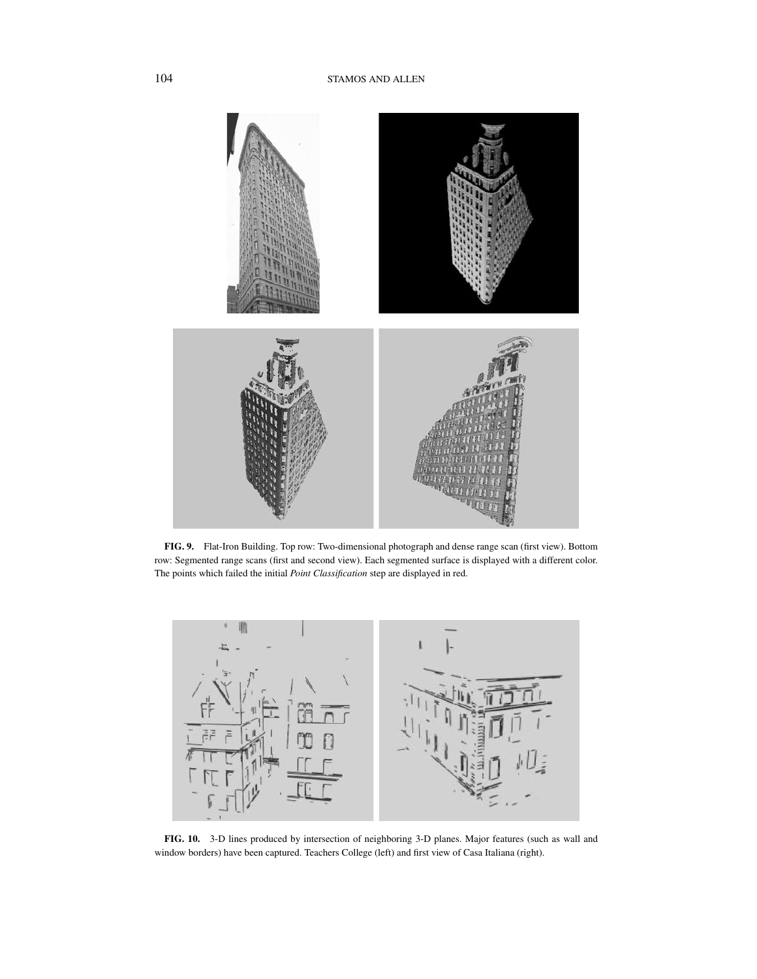

**FIG. 9.** Flat-Iron Building. Top row: Two-dimensional photograph and dense range scan (first view). Bottom row: Segmented range scans (first and second view). Each segmented surface is displayed with a different color. The points which failed the initial *Point Classification* step are displayed in red.



**FIG. 10.** 3-D lines produced by intersection of neighboring 3-D planes. Major features (such as wall and window borders) have been captured. Teachers College (left) and first view of Casa Italiana (right).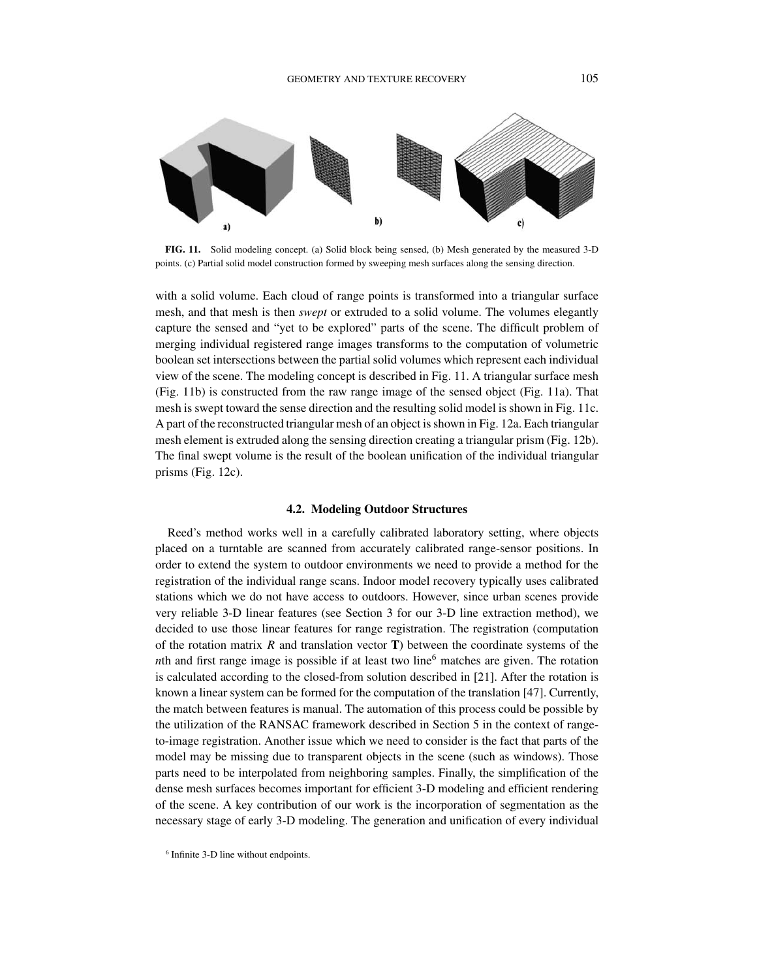

**FIG. 11.** Solid modeling concept. (a) Solid block being sensed, (b) Mesh generated by the measured 3-D points. (c) Partial solid model construction formed by sweeping mesh surfaces along the sensing direction.

with a solid volume. Each cloud of range points is transformed into a triangular surface mesh, and that mesh is then *swept* or extruded to a solid volume. The volumes elegantly capture the sensed and "yet to be explored" parts of the scene. The difficult problem of merging individual registered range images transforms to the computation of volumetric boolean set intersections between the partial solid volumes which represent each individual view of the scene. The modeling concept is described in Fig. 11. A triangular surface mesh (Fig. 11b) is constructed from the raw range image of the sensed object (Fig. 11a). That mesh is swept toward the sense direction and the resulting solid model is shown in Fig. 11c. A part of the reconstructed triangular mesh of an object is shown in Fig. 12a. Each triangular mesh element is extruded along the sensing direction creating a triangular prism (Fig. 12b). The final swept volume is the result of the boolean unification of the individual triangular prisms (Fig. 12c).

#### **4.2. Modeling Outdoor Structures**

Reed's method works well in a carefully calibrated laboratory setting, where objects placed on a turntable are scanned from accurately calibrated range-sensor positions. In order to extend the system to outdoor environments we need to provide a method for the registration of the individual range scans. Indoor model recovery typically uses calibrated stations which we do not have access to outdoors. However, since urban scenes provide very reliable 3-D linear features (see Section 3 for our 3-D line extraction method), we decided to use those linear features for range registration. The registration (computation of the rotation matrix *R* and translation vector **T**) between the coordinate systems of the *nth* and first range image is possible if at least two line<sup>6</sup> matches are given. The rotation is calculated according to the closed-from solution described in [21]. After the rotation is known a linear system can be formed for the computation of the translation [47]. Currently, the match between features is manual. The automation of this process could be possible by the utilization of the RANSAC framework described in Section 5 in the context of rangeto-image registration. Another issue which we need to consider is the fact that parts of the model may be missing due to transparent objects in the scene (such as windows). Those parts need to be interpolated from neighboring samples. Finally, the simplification of the dense mesh surfaces becomes important for efficient 3-D modeling and efficient rendering of the scene. A key contribution of our work is the incorporation of segmentation as the necessary stage of early 3-D modeling. The generation and unification of every individual

<sup>6</sup> Infinite 3-D line without endpoints.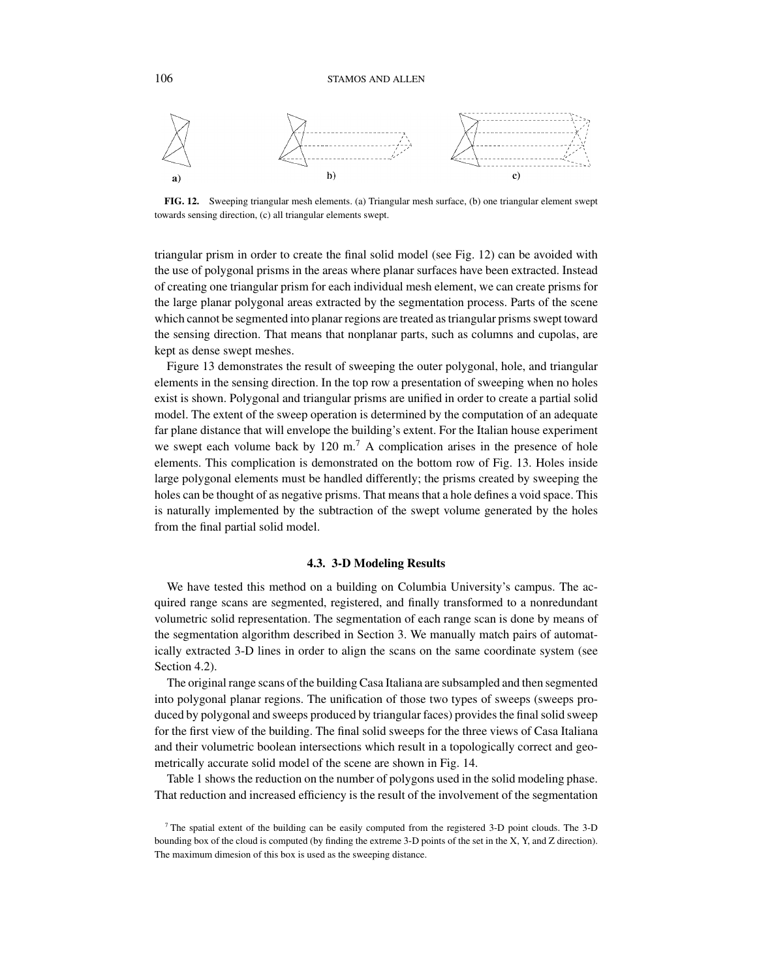

**FIG. 12.** Sweeping triangular mesh elements. (a) Triangular mesh surface, (b) one triangular element swept towards sensing direction, (c) all triangular elements swept.

triangular prism in order to create the final solid model (see Fig. 12) can be avoided with the use of polygonal prisms in the areas where planar surfaces have been extracted. Instead of creating one triangular prism for each individual mesh element, we can create prisms for the large planar polygonal areas extracted by the segmentation process. Parts of the scene which cannot be segmented into planar regions are treated as triangular prisms swept toward the sensing direction. That means that nonplanar parts, such as columns and cupolas, are kept as dense swept meshes.

Figure 13 demonstrates the result of sweeping the outer polygonal, hole, and triangular elements in the sensing direction. In the top row a presentation of sweeping when no holes exist is shown. Polygonal and triangular prisms are unified in order to create a partial solid model. The extent of the sweep operation is determined by the computation of an adequate far plane distance that will envelope the building's extent. For the Italian house experiment we swept each volume back by  $120 \text{ m}^7$ . A complication arises in the presence of hole elements. This complication is demonstrated on the bottom row of Fig. 13. Holes inside large polygonal elements must be handled differently; the prisms created by sweeping the holes can be thought of as negative prisms. That means that a hole defines a void space. This is naturally implemented by the subtraction of the swept volume generated by the holes from the final partial solid model.

#### **4.3. 3-D Modeling Results**

We have tested this method on a building on Columbia University's campus. The acquired range scans are segmented, registered, and finally transformed to a nonredundant volumetric solid representation. The segmentation of each range scan is done by means of the segmentation algorithm described in Section 3. We manually match pairs of automatically extracted 3-D lines in order to align the scans on the same coordinate system (see Section 4.2).

The original range scans of the building Casa Italiana are subsampled and then segmented into polygonal planar regions. The unification of those two types of sweeps (sweeps produced by polygonal and sweeps produced by triangular faces) provides the final solid sweep for the first view of the building. The final solid sweeps for the three views of Casa Italiana and their volumetric boolean intersections which result in a topologically correct and geometrically accurate solid model of the scene are shown in Fig. 14.

Table 1 shows the reduction on the number of polygons used in the solid modeling phase. That reduction and increased efficiency is the result of the involvement of the segmentation

<sup>7</sup> The spatial extent of the building can be easily computed from the registered 3-D point clouds. The 3-D bounding box of the cloud is computed (by finding the extreme 3-D points of the set in the X, Y, and Z direction). The maximum dimesion of this box is used as the sweeping distance.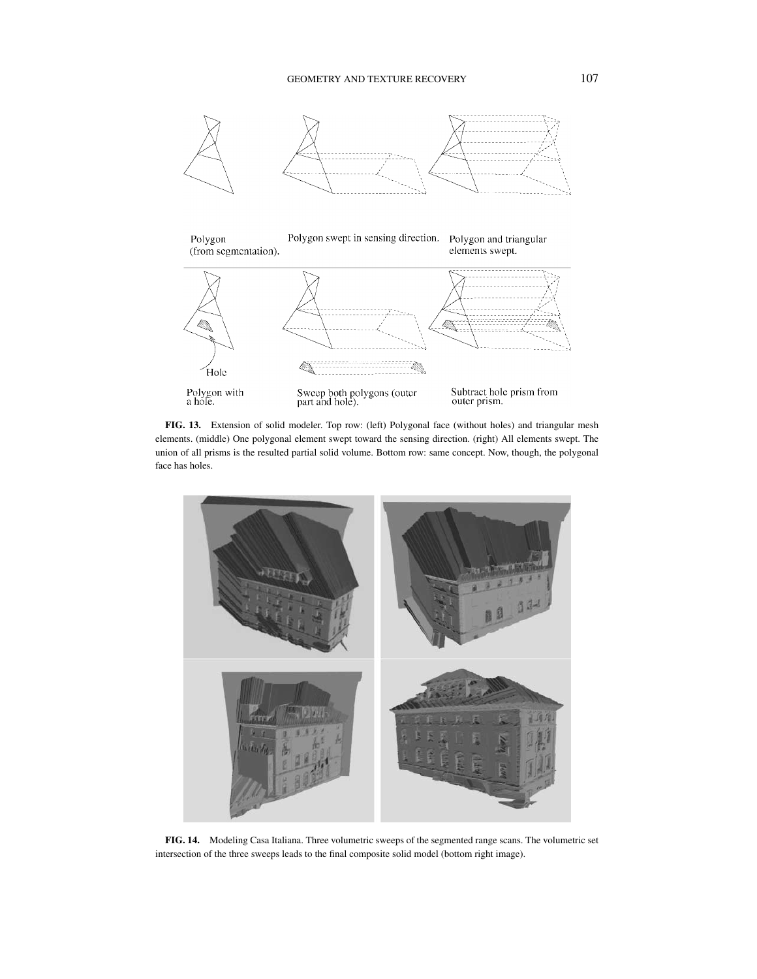

**FIG. 13.** Extension of solid modeler. Top row: (left) Polygonal face (without holes) and triangular mesh elements. (middle) One polygonal element swept toward the sensing direction. (right) All elements swept. The union of all prisms is the resulted partial solid volume. Bottom row: same concept. Now, though, the polygonal face has holes.



**FIG. 14.** Modeling Casa Italiana. Three volumetric sweeps of the segmented range scans. The volumetric set intersection of the three sweeps leads to the final composite solid model (bottom right image).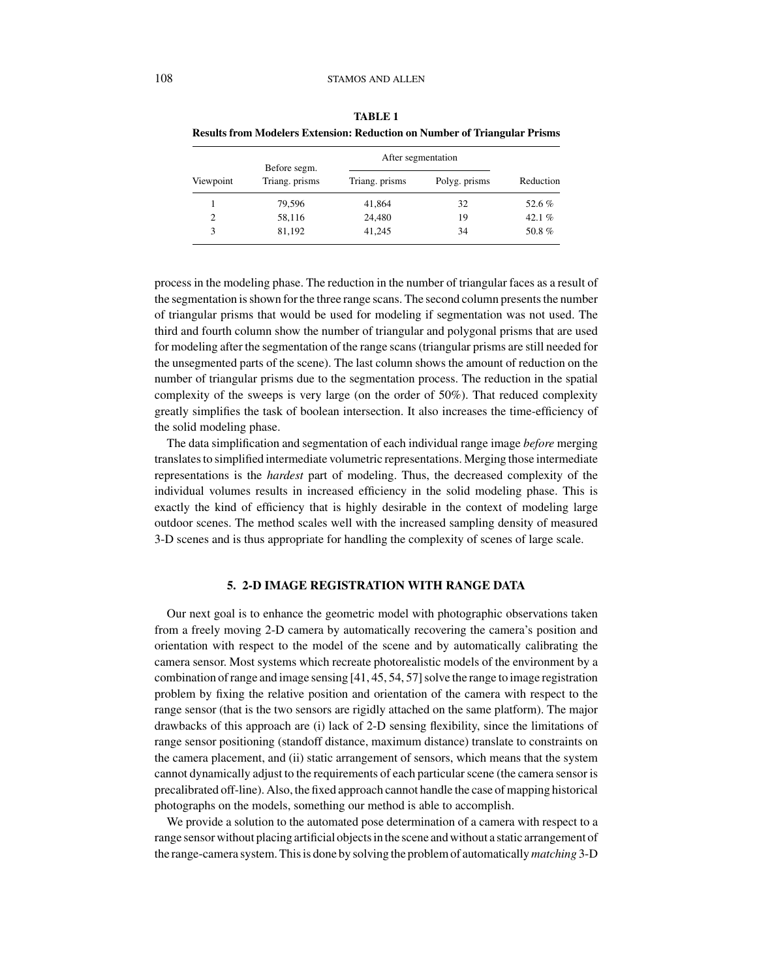| Viewpoint | Before segm.<br>Triang. prisms | After segmentation |               |           |
|-----------|--------------------------------|--------------------|---------------|-----------|
|           |                                | Triang. prisms     | Polyg. prisms | Reduction |
|           | 79,596                         | 41,864             | 32            | 52.6%     |
| 2         | 58,116                         | 24,480             | 19            | 42.1 $%$  |
|           | 81,192                         | 41,245             | 34            | 50.8%     |

**TABLE 1 Results from Modelers Extension: Reduction on Number of Triangular Prisms**

process in the modeling phase. The reduction in the number of triangular faces as a result of the segmentation is shown for the three range scans. The second column presents the number of triangular prisms that would be used for modeling if segmentation was not used. The third and fourth column show the number of triangular and polygonal prisms that are used for modeling after the segmentation of the range scans (triangular prisms are still needed for the unsegmented parts of the scene). The last column shows the amount of reduction on the number of triangular prisms due to the segmentation process. The reduction in the spatial complexity of the sweeps is very large (on the order of 50%). That reduced complexity greatly simplifies the task of boolean intersection. It also increases the time-efficiency of the solid modeling phase.

The data simplification and segmentation of each individual range image *before* merging translates to simplified intermediate volumetric representations. Merging those intermediate representations is the *hardest* part of modeling. Thus, the decreased complexity of the individual volumes results in increased efficiency in the solid modeling phase. This is exactly the kind of efficiency that is highly desirable in the context of modeling large outdoor scenes. The method scales well with the increased sampling density of measured 3-D scenes and is thus appropriate for handling the complexity of scenes of large scale.

# **5. 2-D IMAGE REGISTRATION WITH RANGE DATA**

Our next goal is to enhance the geometric model with photographic observations taken from a freely moving 2-D camera by automatically recovering the camera's position and orientation with respect to the model of the scene and by automatically calibrating the camera sensor. Most systems which recreate photorealistic models of the environment by a combination of range and image sensing [41, 45, 54, 57] solve the range to image registration problem by fixing the relative position and orientation of the camera with respect to the range sensor (that is the two sensors are rigidly attached on the same platform). The major drawbacks of this approach are (i) lack of 2-D sensing flexibility, since the limitations of range sensor positioning (standoff distance, maximum distance) translate to constraints on the camera placement, and (ii) static arrangement of sensors, which means that the system cannot dynamically adjust to the requirements of each particular scene (the camera sensor is precalibrated off-line). Also, the fixed approach cannot handle the case of mapping historical photographs on the models, something our method is able to accomplish.

We provide a solution to the automated pose determination of a camera with respect to a range sensor without placing artificial objects in the scene and without a static arrangement of the range-camera system. This is done by solving the problem of automatically *matching* 3-D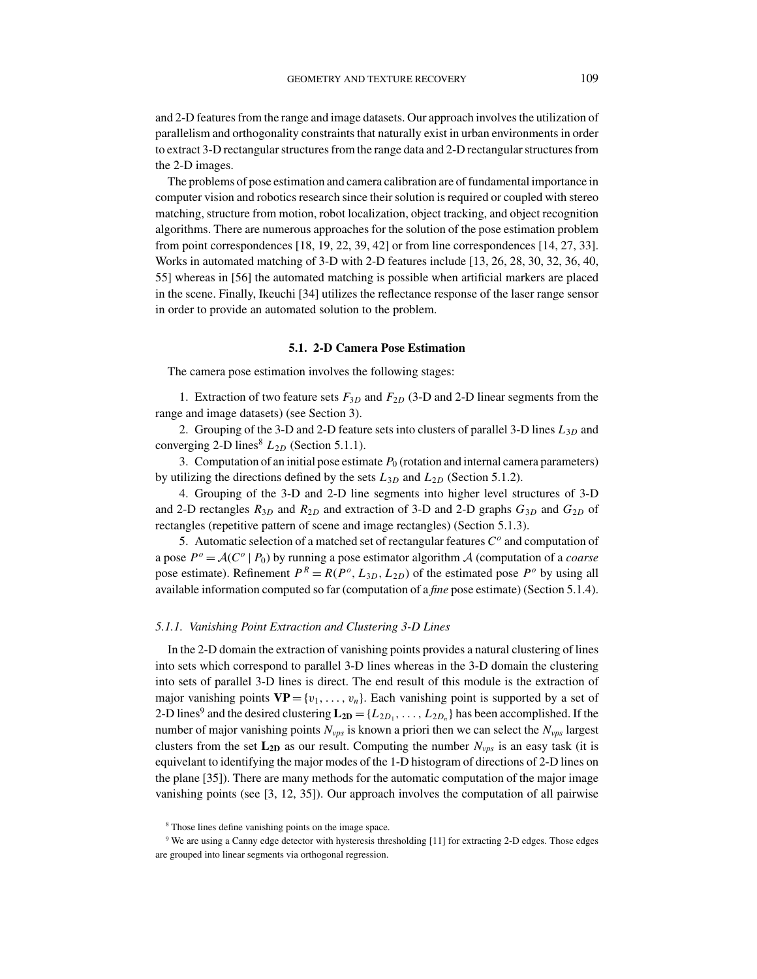and 2-D features from the range and image datasets. Our approach involves the utilization of parallelism and orthogonality constraints that naturally exist in urban environments in order to extract 3-D rectangular structures from the range data and 2-D rectangular structures from the 2-D images.

The problems of pose estimation and camera calibration are of fundamental importance in computer vision and robotics research since their solution is required or coupled with stereo matching, structure from motion, robot localization, object tracking, and object recognition algorithms. There are numerous approaches for the solution of the pose estimation problem from point correspondences [18, 19, 22, 39, 42] or from line correspondences [14, 27, 33]. Works in automated matching of 3-D with 2-D features include [13, 26, 28, 30, 32, 36, 40, 55] whereas in [56] the automated matching is possible when artificial markers are placed in the scene. Finally, Ikeuchi [34] utilizes the reflectance response of the laser range sensor in order to provide an automated solution to the problem.

#### **5.1. 2-D Camera Pose Estimation**

The camera pose estimation involves the following stages:

1. Extraction of two feature sets  $F_{3D}$  and  $F_{2D}$  (3-D and 2-D linear segments from the range and image datasets) (see Section 3).

2. Grouping of the 3-D and 2-D feature sets into clusters of parallel 3-D lines *L*3*<sup>D</sup>* and converging 2-D lines<sup>8</sup>  $L_{2D}$  (Section 5.1.1).

3. Computation of an initial pose estimate  $P_0$  (rotation and internal camera parameters) by utilizing the directions defined by the sets  $L_{3D}$  and  $L_{2D}$  (Section 5.1.2).

4. Grouping of the 3-D and 2-D line segments into higher level structures of 3-D and 2-D rectangles  $R_{3D}$  and  $R_{2D}$  and extraction of 3-D and 2-D graphs  $G_{3D}$  and  $G_{2D}$  of rectangles (repetitive pattern of scene and image rectangles) (Section 5.1.3).

5. Automatic selection of a matched set of rectangular features *C<sup>o</sup>* and computation of a pose  $P^{\circ} = \mathcal{A}(C^{\circ} | P_0)$  by running a pose estimator algorithm  $\mathcal{A}$  (computation of a *coarse* pose estimate). Refinement  $P^R = R(P^o, L_{3D}, L_{2D})$  of the estimated pose  $P^o$  by using all available information computed so far (computation of a *fine* pose estimate) (Section 5.1.4).

## *5.1.1. Vanishing Point Extraction and Clustering 3-D Lines*

In the 2-D domain the extraction of vanishing points provides a natural clustering of lines into sets which correspond to parallel 3-D lines whereas in the 3-D domain the clustering into sets of parallel 3-D lines is direct. The end result of this module is the extraction of major vanishing points  $VP = \{v_1, \ldots, v_n\}$ . Each vanishing point is supported by a set of 2-D lines<sup>9</sup> and the desired clustering  $L_{2D} = \{L_{2D_1}, \ldots, L_{2D_n}\}\$  has been accomplished. If the number of major vanishing points  $N_{vps}$  is known a priori then we can select the  $N_{vps}$  largest clusters from the set  $L_{2D}$  as our result. Computing the number  $N_{vps}$  is an easy task (it is equivelant to identifying the major modes of the 1-D histogram of directions of 2-D lines on the plane [35]). There are many methods for the automatic computation of the major image vanishing points (see [3, 12, 35]). Our approach involves the computation of all pairwise

<sup>&</sup>lt;sup>8</sup> Those lines define vanishing points on the image space.

<sup>9</sup> We are using a Canny edge detector with hysteresis thresholding [11] for extracting 2-D edges. Those edges are grouped into linear segments via orthogonal regression.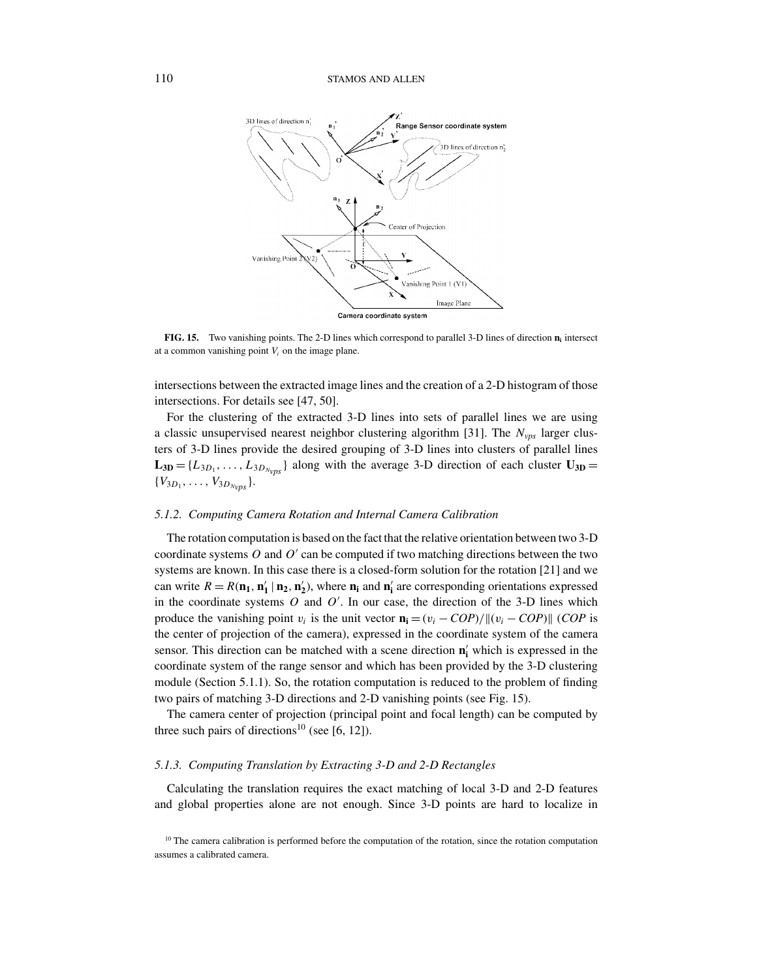

**FIG. 15.** Two vanishing points. The 2-D lines which correspond to parallel 3-D lines of direction  $\mathbf{n}_i$  intersect at a common vanishing point  $V_i$  on the image plane.

intersections between the extracted image lines and the creation of a 2-D histogram of those intersections. For details see [47, 50].

For the clustering of the extracted 3-D lines into sets of parallel lines we are using a classic unsupervised nearest neighbor clustering algorithm [31]. The *Nvps* larger clusters of 3-D lines provide the desired grouping of 3-D lines into clusters of parallel lines  $L_{3D} = \{L_{3D_1}, \ldots, L_{3D_{Nvnc}}\}\$ along with the average 3-D direction of each cluster  $U_{3D} =$  $\{V_{3D_1}, \ldots, V_{3D_{N_{\text{trn}}}}\}.$ 

#### *5.1.2. Computing Camera Rotation and Internal Camera Calibration*

The rotation computation is based on the fact that the relative orientation between two 3-D coordinate systems *O* and *O'* can be computed if two matching directions between the two systems are known. In this case there is a closed-form solution for the rotation [21] and we can write  $R = R(\mathbf{n}_1, \mathbf{n}'_1 | \mathbf{n}_2, \mathbf{n}'_2)$ , where  $\mathbf{n}_i$  and  $\mathbf{n}'_i$  are corresponding orientations expressed in the coordinate systems  $O$  and  $O'$ . In our case, the direction of the 3-D lines which produce the vanishing point  $v_i$  is the unit vector  $\mathbf{n_i} = (v_i - COP)/\|(v_i - COP)\|$  (*COP* is the center of projection of the camera), expressed in the coordinate system of the camera sensor. This direction can be matched with a scene direction **n <sup>i</sup>** which is expressed in the coordinate system of the range sensor and which has been provided by the 3-D clustering module (Section 5.1.1). So, the rotation computation is reduced to the problem of finding two pairs of matching 3-D directions and 2-D vanishing points (see Fig. 15).

The camera center of projection (principal point and focal length) can be computed by three such pairs of directions<sup>10</sup> (see [6, 12]).

#### *5.1.3. Computing Translation by Extracting 3-D and 2-D Rectangles*

Calculating the translation requires the exact matching of local 3-D and 2-D features and global properties alone are not enough. Since 3-D points are hard to localize in

 $10$  The camera calibration is performed before the computation of the rotation, since the rotation computation assumes a calibrated camera.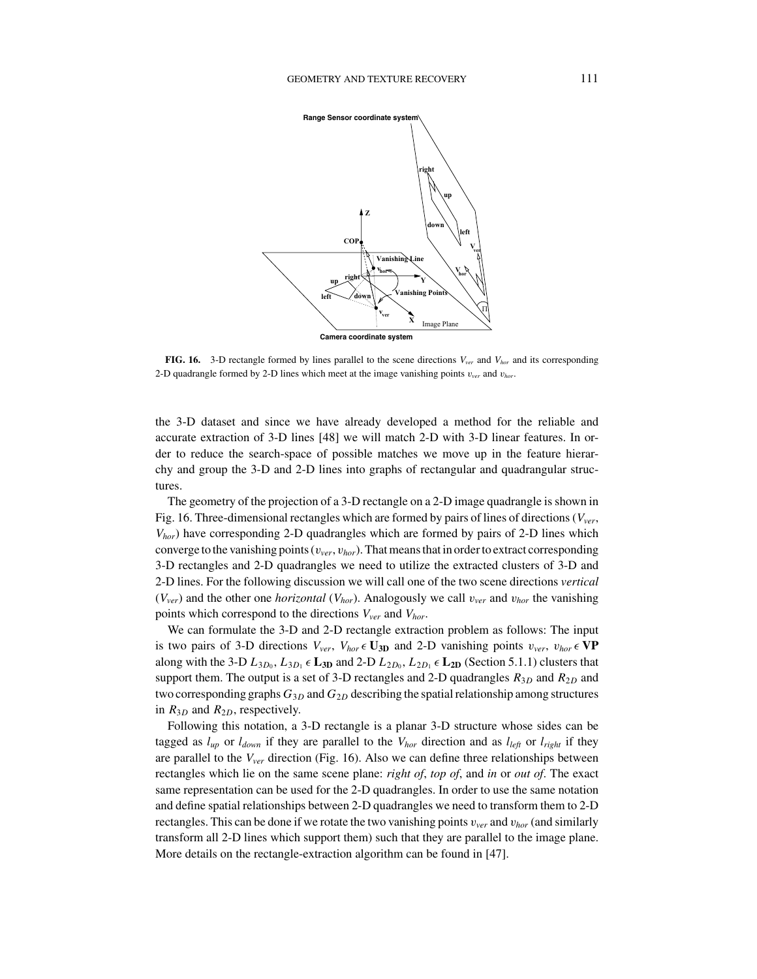

**FIG. 16.** 3-D rectangle formed by lines parallel to the scene directions *Vver* and *Vhor* and its corresponding 2-D quadrangle formed by 2-D lines which meet at the image vanishing points  $v_{ver}$  and  $v_{hor}$ .

the 3-D dataset and since we have already developed a method for the reliable and accurate extraction of 3-D lines [48] we will match 2-D with 3-D linear features. In order to reduce the search-space of possible matches we move up in the feature hierarchy and group the 3-D and 2-D lines into graphs of rectangular and quadrangular structures.

The geometry of the projection of a 3-D rectangle on a 2-D image quadrangle is shown in Fig. 16. Three-dimensional rectangles which are formed by pairs of lines of directions (*Vver*, *Vhor*) have corresponding 2-D quadrangles which are formed by pairs of 2-D lines which converge to the vanishing points (v*ver*, v*hor*). That means that in order to extract corresponding 3-D rectangles and 2-D quadrangles we need to utilize the extracted clusters of 3-D and 2-D lines. For the following discussion we will call one of the two scene directions *vertical*  $(V_{ver})$  and the other one *horizontal*  $(V_{hor})$ . Analogously we call  $v_{ver}$  and  $v_{hor}$  the vanishing points which correspond to the directions *Vver* and *Vhor*.

We can formulate the 3-D and 2-D rectangle extraction problem as follows: The input is two pairs of 3-D directions  $V_{ver}$ ,  $V_{hor} \in \mathbf{U_{3D}}$  and 2-D vanishing points  $v_{ver}$ ,  $v_{hor} \in \mathbf{VP}$ along with the 3-D  $L_{3D_0}$ ,  $L_{3D_1} \in L_{3D}$  and 2-D  $L_{2D_0}$ ,  $L_{2D_1} \in L_{2D}$  (Section 5.1.1) clusters that support them. The output is a set of 3-D rectangles and 2-D quadrangles  $R_{3D}$  and  $R_{2D}$  and two corresponding graphs  $G_{3D}$  and  $G_{2D}$  describing the spatial relationship among structures in  $R_{3D}$  and  $R_{2D}$ , respectively.

Following this notation, a 3-D rectangle is a planar 3-D structure whose sides can be tagged as  $l_{up}$  or  $l_{down}$  if they are parallel to the  $V_{hor}$  direction and as  $l_{left}$  or  $l_{right}$  if they are parallel to the *Vver* direction (Fig. 16). Also we can define three relationships between rectangles which lie on the same scene plane: *right of*, *top of*, and *in* or *out of*. The exact same representation can be used for the 2-D quadrangles. In order to use the same notation and define spatial relationships between 2-D quadrangles we need to transform them to 2-D rectangles. This can be done if we rotate the two vanishing points  $v_{ver}$  and  $v_{hor}$  (and similarly transform all 2-D lines which support them) such that they are parallel to the image plane. More details on the rectangle-extraction algorithm can be found in [47].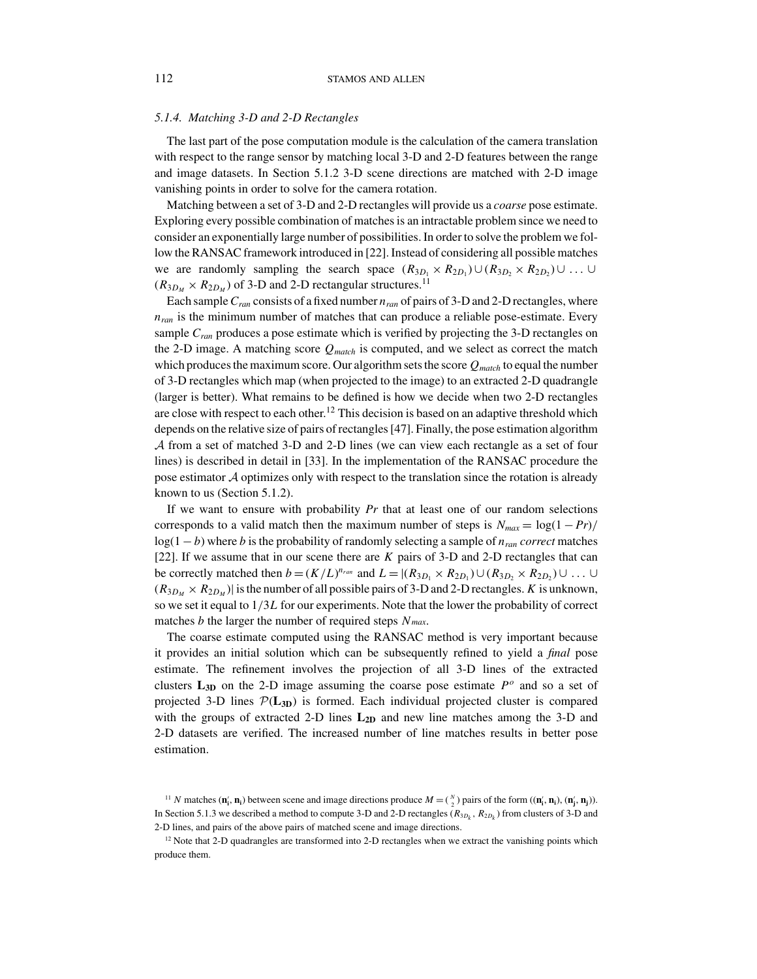## *5.1.4. Matching 3-D and 2-D Rectangles*

The last part of the pose computation module is the calculation of the camera translation with respect to the range sensor by matching local 3-D and 2-D features between the range and image datasets. In Section 5.1.2 3-D scene directions are matched with 2-D image vanishing points in order to solve for the camera rotation.

Matching between a set of 3-D and 2-D rectangles will provide us a *coarse* pose estimate. Exploring every possible combination of matches is an intractable problem since we need to consider an exponentially large number of possibilities. In order to solve the problem we follow the RANSAC framework introduced in [22]. Instead of considering all possible matches we are randomly sampling the search space  $(R_{3D_1} \times R_{2D_1}) \cup (R_{3D_2} \times R_{2D_2}) \cup ... \cup$  $(R_{3D_M} \times R_{2D_M})$  of 3-D and 2-D rectangular structures.<sup>11</sup>

Each sample  $C_{ran}$  consists of a fixed number  $n_{ran}$  of pairs of 3-D and 2-D rectangles, where *nran* is the minimum number of matches that can produce a reliable pose-estimate. Every sample  $C<sub>ran</sub>$  produces a pose estimate which is verified by projecting the 3-D rectangles on the 2-D image. A matching score *Qmatch* is computed, and we select as correct the match which produces the maximum score. Our algorithm sets the score  $Q_{match}$  to equal the number of 3-D rectangles which map (when projected to the image) to an extracted 2-D quadrangle (larger is better). What remains to be defined is how we decide when two 2-D rectangles are close with respect to each other.<sup>12</sup> This decision is based on an adaptive threshold which depends on the relative size of pairs of rectangles [47]. Finally, the pose estimation algorithm A from a set of matched 3-D and 2-D lines (we can view each rectangle as a set of four lines) is described in detail in [33]. In the implementation of the RANSAC procedure the pose estimator A optimizes only with respect to the translation since the rotation is already known to us (Section 5.1.2).

If we want to ensure with probability *Pr* that at least one of our random selections corresponds to a valid match then the maximum number of steps is  $N_{max} = \log(1 - Pr)$ / log(1 − *b*) where *b* is the probability of randomly selecting a sample of *nran correct* matches [22]. If we assume that in our scene there are *K* pairs of 3-D and 2-D rectangles that can be correctly matched then  $b = (K/L)^{n_{ran}}$  and  $L = |(R_{3D_1} \times R_{2D_1}) \cup (R_{3D_2} \times R_{2D_2}) \cup ... \cup$  $(R_{3*D<sub>M</sub>} \times R_{2*D<sub>M</sub>}**$ ) is the number of all possible pairs of 3-D and 2-D rectangles. *K* is unknown, so we set it equal to 1/3*L* for our experiments. Note that the lower the probability of correct matches *b* the larger the number of required steps *N max*.

The coarse estimate computed using the RANSAC method is very important because it provides an initial solution which can be subsequently refined to yield a *final* pose estimate. The refinement involves the projection of all 3-D lines of the extracted clusters  $L_{3D}$  on the 2-D image assuming the coarse pose estimate  $P^o$  and so a set of projected 3-D lines  $\mathcal{P}(L_{3D})$  is formed. Each individual projected cluster is compared with the groups of extracted 2-D lines  $L_{2D}$  and new line matches among the 3-D and 2-D datasets are verified. The increased number of line matches results in better pose estimation.

<sup>&</sup>lt;sup>11</sup> *N* matches  $(\mathbf{n}'_i, \mathbf{n}_i)$  between scene and image directions produce  $M = \binom{N}{2}$  pairs of the form  $((\mathbf{n}'_i, \mathbf{n}_i), (\mathbf{n}'_j, \mathbf{n}_j))$ . In Section 5.1.3 we described a method to compute 3-D and 2-D rectangles ( $R_{3D_k}$ ,  $R_{2D_k}$ ) from clusters of 3-D and 2-D lines, and pairs of the above pairs of matched scene and image directions.

 $12$  Note that 2-D quadrangles are transformed into 2-D rectangles when we extract the vanishing points which produce them.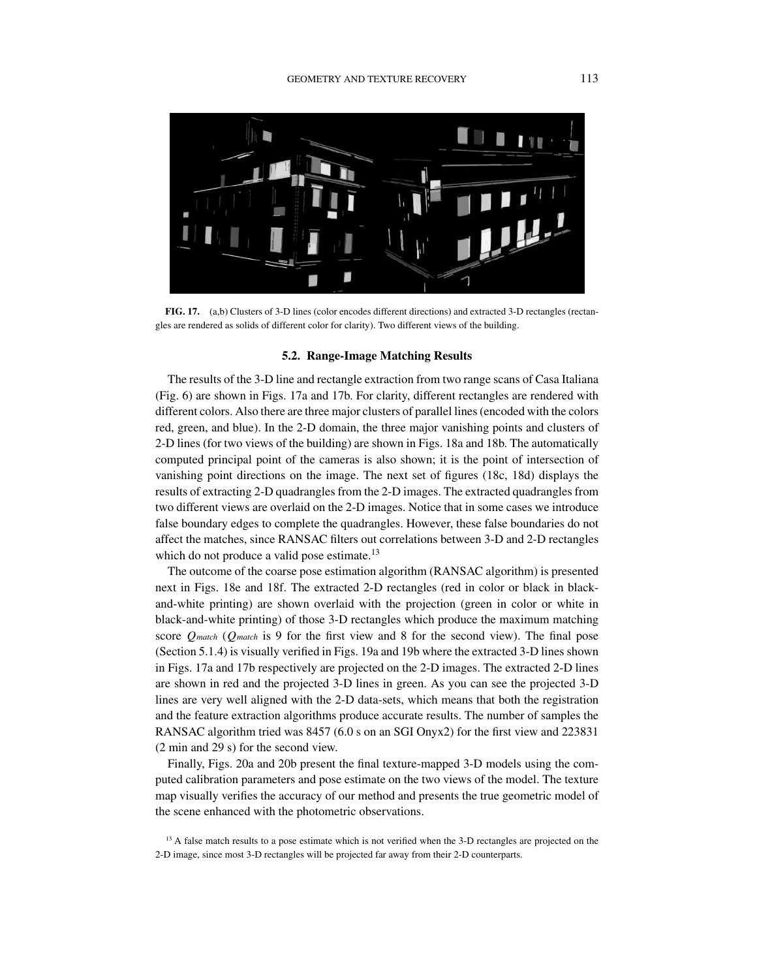

**FIG. 17.** (a,b) Clusters of 3-D lines (color encodes different directions) and extracted 3-D rectangles (rectangles are rendered as solids of different color for clarity). Two different views of the building.

## **5.2. Range-Image Matching Results**

The results of the 3-D line and rectangle extraction from two range scans of Casa Italiana (Fig. 6) are shown in Figs. 17a and 17b. For clarity, different rectangles are rendered with different colors. Also there are three major clusters of parallel lines (encoded with the colors red, green, and blue). In the 2-D domain, the three major vanishing points and clusters of 2-D lines (for two views of the building) are shown in Figs. 18a and 18b. The automatically computed principal point of the cameras is also shown; it is the point of intersection of vanishing point directions on the image. The next set of figures (18c, 18d) displays the results of extracting 2-D quadrangles from the 2-D images. The extracted quadrangles from two different views are overlaid on the 2-D images. Notice that in some cases we introduce false boundary edges to complete the quadrangles. However, these false boundaries do not affect the matches, since RANSAC filters out correlations between 3-D and 2-D rectangles which do not produce a valid pose estimate.<sup>13</sup>

The outcome of the coarse pose estimation algorithm (RANSAC algorithm) is presented next in Figs. 18e and 18f. The extracted 2-D rectangles (red in color or black in blackand-white printing) are shown overlaid with the projection (green in color or white in black-and-white printing) of those 3-D rectangles which produce the maximum matching score *Qmatch* (*Qmatch* is 9 for the first view and 8 for the second view). The final pose (Section 5.1.4) is visually verified in Figs. 19a and 19b where the extracted 3-D lines shown in Figs. 17a and 17b respectively are projected on the 2-D images. The extracted 2-D lines are shown in red and the projected 3-D lines in green. As you can see the projected 3-D lines are very well aligned with the 2-D data-sets, which means that both the registration and the feature extraction algorithms produce accurate results. The number of samples the RANSAC algorithm tried was 8457 (6.0 s on an SGI Onyx2) for the first view and 223831 (2 min and 29 s) for the second view.

Finally, Figs. 20a and 20b present the final texture-mapped 3-D models using the computed calibration parameters and pose estimate on the two views of the model. The texture map visually verifies the accuracy of our method and presents the true geometric model of the scene enhanced with the photometric observations.

<sup>13</sup> A false match results to a pose estimate which is not verified when the 3-D rectangles are projected on the 2-D image, since most 3-D rectangles will be projected far away from their 2-D counterparts.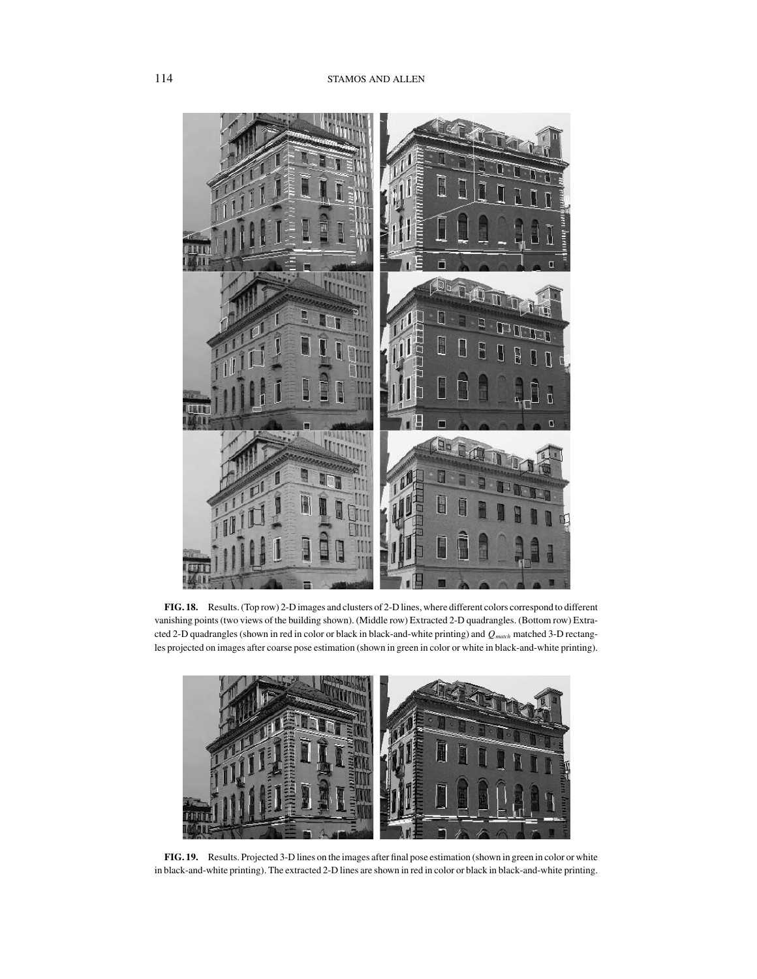

**FIG. 18.** Results. (Top row) 2-D images and clusters of 2-D lines, where different colors correspond to different vanishing points (two views of the building shown). (Middle row) Extracted 2-D quadrangles. (Bottom row) Extracted 2-D quadrangles (shown in red in color or black in black-and-white printing) and  $Q_{\text{match}}$  matched 3-D rectangles projected on images after coarse pose estimation (shown in green in color or white in black-and-white printing).



**FIG. 19.** Results. Projected 3-D lines on the images after final pose estimation (shown in green in color or white in black-and-white printing). The extracted 2-D lines are shown in red in color or black in black-and-white printing.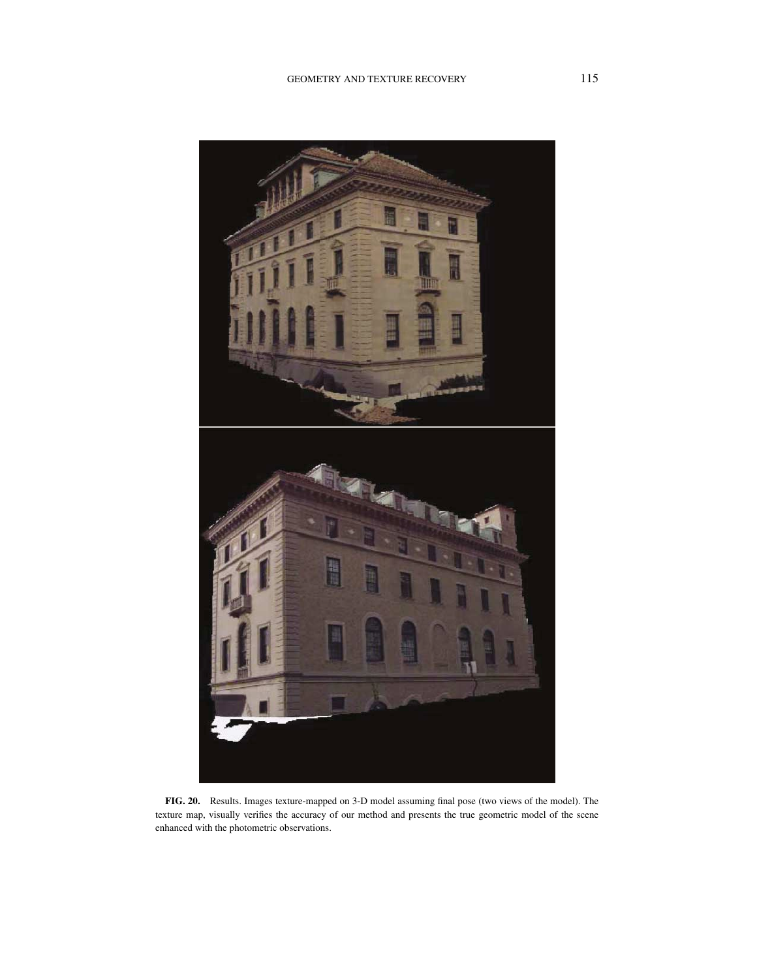

**FIG. 20.** Results. Images texture-mapped on 3-D model assuming final pose (two views of the model). The texture map, visually verifies the accuracy of our method and presents the true geometric model of the scene enhanced with the photometric observations.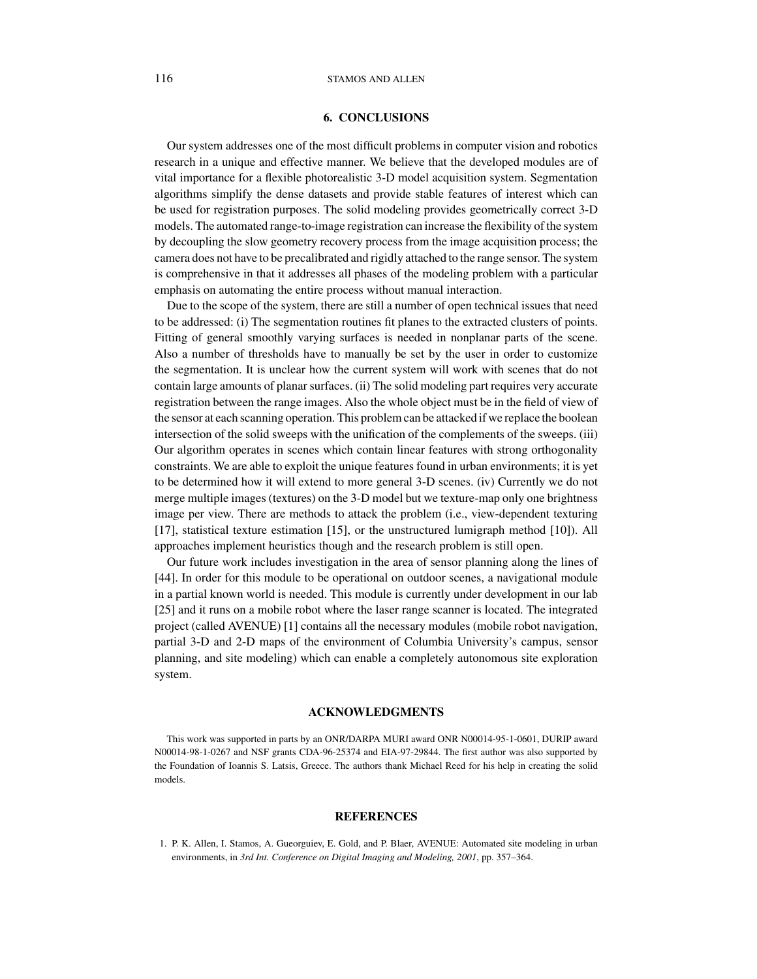## **6. CONCLUSIONS**

Our system addresses one of the most difficult problems in computer vision and robotics research in a unique and effective manner. We believe that the developed modules are of vital importance for a flexible photorealistic 3-D model acquisition system. Segmentation algorithms simplify the dense datasets and provide stable features of interest which can be used for registration purposes. The solid modeling provides geometrically correct 3-D models. The automated range-to-image registration can increase the flexibility of the system by decoupling the slow geometry recovery process from the image acquisition process; the camera does not have to be precalibrated and rigidly attached to the range sensor. The system is comprehensive in that it addresses all phases of the modeling problem with a particular emphasis on automating the entire process without manual interaction.

Due to the scope of the system, there are still a number of open technical issues that need to be addressed: (i) The segmentation routines fit planes to the extracted clusters of points. Fitting of general smoothly varying surfaces is needed in nonplanar parts of the scene. Also a number of thresholds have to manually be set by the user in order to customize the segmentation. It is unclear how the current system will work with scenes that do not contain large amounts of planar surfaces. (ii) The solid modeling part requires very accurate registration between the range images. Also the whole object must be in the field of view of the sensor at each scanning operation. This problem can be attacked if we replace the boolean intersection of the solid sweeps with the unification of the complements of the sweeps. (iii) Our algorithm operates in scenes which contain linear features with strong orthogonality constraints. We are able to exploit the unique features found in urban environments; it is yet to be determined how it will extend to more general 3-D scenes. (iv) Currently we do not merge multiple images (textures) on the 3-D model but we texture-map only one brightness image per view. There are methods to attack the problem (i.e., view-dependent texturing [17], statistical texture estimation [15], or the unstructured lumigraph method [10]). All approaches implement heuristics though and the research problem is still open.

Our future work includes investigation in the area of sensor planning along the lines of [44]. In order for this module to be operational on outdoor scenes, a navigational module in a partial known world is needed. This module is currently under development in our lab [25] and it runs on a mobile robot where the laser range scanner is located. The integrated project (called AVENUE) [1] contains all the necessary modules (mobile robot navigation, partial 3-D and 2-D maps of the environment of Columbia University's campus, sensor planning, and site modeling) which can enable a completely autonomous site exploration system.

#### **ACKNOWLEDGMENTS**

This work was supported in parts by an ONR/DARPA MURI award ONR N00014-95-1-0601, DURIP award N00014-98-1-0267 and NSF grants CDA-96-25374 and EIA-97-29844. The first author was also supported by the Foundation of Ioannis S. Latsis, Greece. The authors thank Michael Reed for his help in creating the solid models.

#### **REFERENCES**

<sup>1.</sup> P. K. Allen, I. Stamos, A. Gueorguiev, E. Gold, and P. Blaer, AVENUE: Automated site modeling in urban environments, in *3rd Int. Conference on Digital Imaging and Modeling, 2001*, pp. 357–364.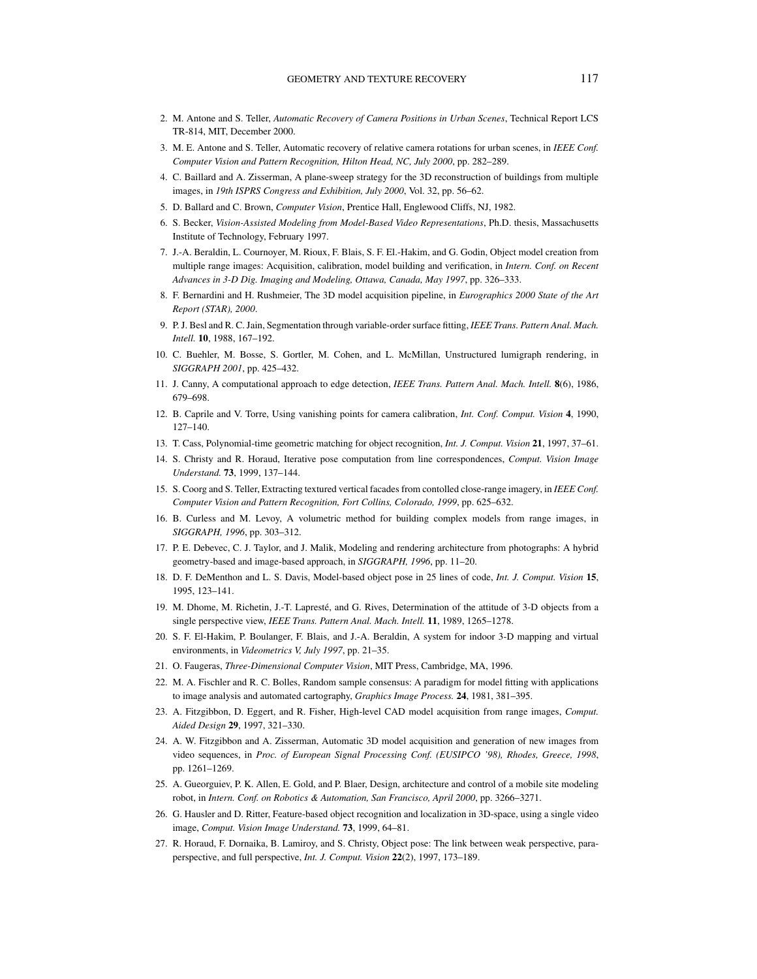- 2. M. Antone and S. Teller, *Automatic Recovery of Camera Positions in Urban Scenes*, Technical Report LCS TR-814, MIT, December 2000.
- 3. M. E. Antone and S. Teller, Automatic recovery of relative camera rotations for urban scenes, in *IEEE Conf. Computer Vision and Pattern Recognition, Hilton Head, NC, July 2000*, pp. 282–289.
- 4. C. Baillard and A. Zisserman, A plane-sweep strategy for the 3D reconstruction of buildings from multiple images, in *19th ISPRS Congress and Exhibition, July 2000*, Vol. 32, pp. 56–62.
- 5. D. Ballard and C. Brown, *Computer Vision*, Prentice Hall, Englewood Cliffs, NJ, 1982.
- 6. S. Becker, *Vision-Assisted Modeling from Model-Based Video Representations*, Ph.D. thesis, Massachusetts Institute of Technology, February 1997.
- 7. J.-A. Beraldin, L. Cournoyer, M. Rioux, F. Blais, S. F. El.-Hakim, and G. Godin, Object model creation from multiple range images: Acquisition, calibration, model building and verification, in *Intern. Conf. on Recent Advances in 3-D Dig. Imaging and Modeling, Ottawa, Canada, May 1997*, pp. 326–333.
- 8. F. Bernardini and H. Rushmeier, The 3D model acquisition pipeline, in *Eurographics 2000 State of the Art Report (STAR), 2000*.
- 9. P. J. Besl and R. C. Jain, Segmentation through variable-order surface fitting, *IEEE Trans. Pattern Anal. Mach. Intell.* **10**, 1988, 167–192.
- 10. C. Buehler, M. Bosse, S. Gortler, M. Cohen, and L. McMillan, Unstructured lumigraph rendering, in *SIGGRAPH 2001*, pp. 425–432.
- 11. J. Canny, A computational approach to edge detection, *IEEE Trans. Pattern Anal. Mach. Intell.* **8**(6), 1986, 679–698.
- 12. B. Caprile and V. Torre, Using vanishing points for camera calibration, *Int. Conf. Comput. Vision* **4**, 1990, 127–140.
- 13. T. Cass, Polynomial-time geometric matching for object recognition, *Int. J. Comput. Vision* **21**, 1997, 37–61.
- 14. S. Christy and R. Horaud, Iterative pose computation from line correspondences, *Comput. Vision Image Understand.* **73**, 1999, 137–144.
- 15. S. Coorg and S. Teller, Extracting textured vertical facades from contolled close-range imagery, in *IEEE Conf. Computer Vision and Pattern Recognition, Fort Collins, Colorado, 1999*, pp. 625–632.
- 16. B. Curless and M. Levoy, A volumetric method for building complex models from range images, in *SIGGRAPH, 1996*, pp. 303–312.
- 17. P. E. Debevec, C. J. Taylor, and J. Malik, Modeling and rendering architecture from photographs: A hybrid geometry-based and image-based approach, in *SIGGRAPH, 1996*, pp. 11–20.
- 18. D. F. DeMenthon and L. S. Davis, Model-based object pose in 25 lines of code, *Int. J. Comput. Vision* **15**, 1995, 123–141.
- 19. M. Dhome, M. Richetin, J.-T. Lapreste, and G. Rives, Determination of the attitude of 3-D objects from a ´ single perspective view, *IEEE Trans. Pattern Anal. Mach. Intell.* **11**, 1989, 1265–1278.
- 20. S. F. El-Hakim, P. Boulanger, F. Blais, and J.-A. Beraldin, A system for indoor 3-D mapping and virtual environments, in *Videometrics V, July 1997*, pp. 21–35.
- 21. O. Faugeras, *Three-Dimensional Computer Vision*, MIT Press, Cambridge, MA, 1996.
- 22. M. A. Fischler and R. C. Bolles, Random sample consensus: A paradigm for model fitting with applications to image analysis and automated cartography, *Graphics Image Process.* **24**, 1981, 381–395.
- 23. A. Fitzgibbon, D. Eggert, and R. Fisher, High-level CAD model acquisition from range images, *Comput. Aided Design* **29**, 1997, 321–330.
- 24. A. W. Fitzgibbon and A. Zisserman, Automatic 3D model acquisition and generation of new images from video sequences, in *Proc. of European Signal Processing Conf. (EUSIPCO '98), Rhodes, Greece, 1998*, pp. 1261–1269.
- 25. A. Gueorguiev, P. K. Allen, E. Gold, and P. Blaer, Design, architecture and control of a mobile site modeling robot, in *Intern. Conf. on Robotics & Automation, San Francisco, April 2000*, pp. 3266–3271.
- 26. G. Hausler and D. Ritter, Feature-based object recognition and localization in 3D-space, using a single video image, *Comput. Vision Image Understand.* **73**, 1999, 64–81.
- 27. R. Horaud, F. Dornaika, B. Lamiroy, and S. Christy, Object pose: The link between weak perspective, paraperspective, and full perspective, *Int. J. Comput. Vision* **22**(2), 1997, 173–189.